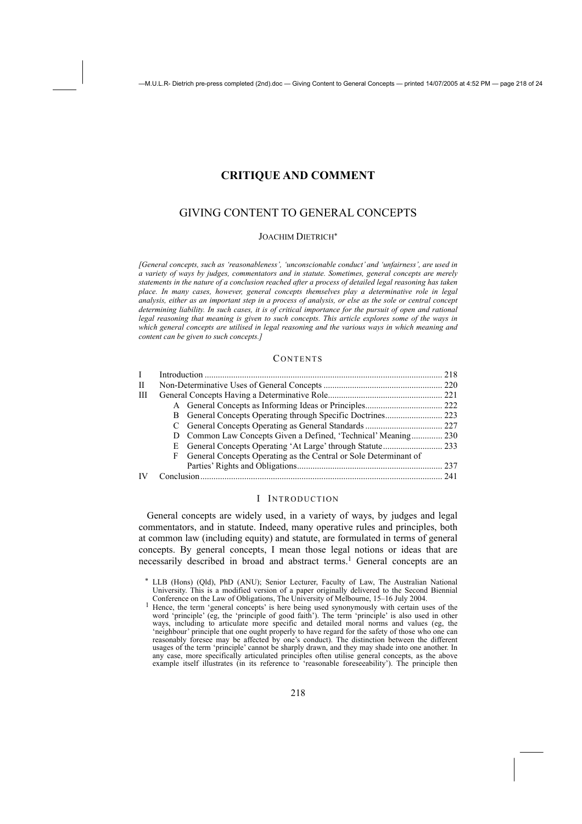# **CRITIQUE AND COMMENT**

# GIVING CONTENT TO GENERAL CONCEPTS

### JOACHIM DIETRICH<sup>∗</sup>

*[General concepts, such as 'reasonableness', 'unconscionable conduct' and 'unfairness', are used in a variety of ways by judges, commentators and in statute. Sometimes, general concepts are merely statements in the nature of a conclusion reached after a process of detailed legal reasoning has taken place. In many cases, however, general concepts themselves play a determinative role in legal analysis, either as an important step in a process of analysis, or else as the sole or central concept determining liability. In such cases, it is of critical importance for the pursuit of open and rational legal reasoning that meaning is given to such concepts. This article explores some of the ways in* which general concepts are utilised in legal reasoning and the various ways in which meaning and *content can be given to such concepts.]* 

#### **CONTENTS**

|   |   |                                                                  | 218 |
|---|---|------------------------------------------------------------------|-----|
| П |   |                                                                  |     |
| Ш |   |                                                                  |     |
|   |   |                                                                  |     |
|   |   |                                                                  |     |
|   |   |                                                                  |     |
|   |   |                                                                  |     |
|   |   |                                                                  |     |
|   | F | General Concepts Operating as the Central or Sole Determinant of |     |
|   |   |                                                                  |     |
|   |   |                                                                  |     |
|   |   |                                                                  |     |

### I INTRODUCTION

General concepts are widely used, in a variety of ways, by judges and legal commentators, and in statute. Indeed, many operative rules and principles, both at common law (including equity) and statute, are formulated in terms of general concepts. By general concepts, I mean those legal notions or ideas that are necessarily described in broad and abstract terms.<sup>1</sup> General concepts are an

LLB (Hons) (Qld), PhD (ANU); Senior Lecturer, Faculty of Law, The Australian National University. This is a modified version of a paper originally delivered to the Second Biennial Conference on the Law of Obligations, The University of Melbourne, 15–16 July 2004.

Conference on the Law of Obligations, The University of Melbourne,  $15-16$  July 2004.<br><sup>1</sup> Hence, the term 'general concepts' is here being used synonymously with certain uses of the word 'principle' (eg, the 'principle of good faith'). The term 'principle' is also used in other ways, including to articulate more specific and detailed moral norms and values (eg, the 'neighbour' principle that one ought properly to have regard for the safety of those who one can reasonably foresee may be affected by one's conduct). The distinction between the different usages of the term 'principle' cannot be sharply drawn, and they may shade into one another. In any case, more specifically articulated principles often utilise general concepts, as the above example itself illustrates (in its reference to 'reasonable foreseeability'). The principle then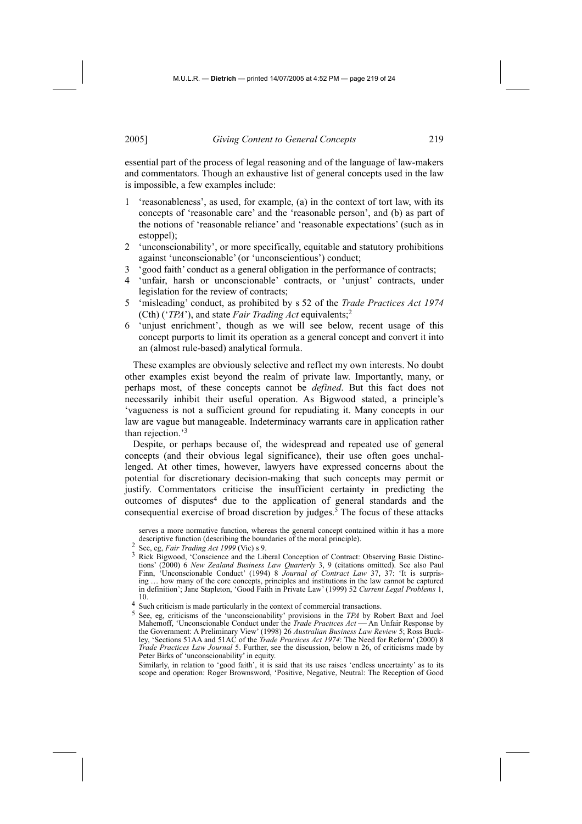essential part of the process of legal reasoning and of the language of law-makers and commentators. Though an exhaustive list of general concepts used in the law is impossible, a few examples include:

- 1 'reasonableness', as used, for example, (a) in the context of tort law, with its concepts of 'reasonable care' and the 'reasonable person', and (b) as part of the notions of 'reasonable reliance' and 'reasonable expectations' (such as in estoppel);
- 2 'unconscionability', or more specifically, equitable and statutory prohibitions against 'unconscionable' (or 'unconscientious') conduct;
- 3 'good faith' conduct as a general obligation in the performance of contracts;
- 'unfair, harsh or unconscionable' contracts, or 'unjust' contracts, under legislation for the review of contracts;
- 5 'misleading' conduct, as prohibited by s 52 of the *Trade Practices Act 1974*  (Cth) ('*TPA*'), and state *Fair Trading Act* equivalents;2
- 6 'unjust enrichment', though as we will see below, recent usage of this concept purports to limit its operation as a general concept and convert it into an (almost rule-based) analytical formula.

These examples are obviously selective and reflect my own interests. No doubt other examples exist beyond the realm of private law. Importantly, many, or perhaps most, of these concepts cannot be *defined*. But this fact does not necessarily inhibit their useful operation. As Bigwood stated, a principle's 'vagueness is not a sufficient ground for repudiating it. Many concepts in our law are vague but manageable. Indeterminacy warrants care in application rather than rejection.'3

Despite, or perhaps because of, the widespread and repeated use of general concepts (and their obvious legal significance), their use often goes unchallenged. At other times, however, lawyers have expressed concerns about the potential for discretionary decision-making that such concepts may permit or justify. Commentators criticise the insufficient certainty in predicting the outcomes of disputes<sup>4</sup> due to the application of general standards and the consequential exercise of broad discretion by judges.<sup>5</sup> The focus of these attacks

 Similarly, in relation to 'good faith', it is said that its use raises 'endless uncertainty' as to its scope and operation: Roger Brownsword, 'Positive, Negative, Neutral: The Reception of Good

serves a more normative function, whereas the general concept contained within it has a more descriptive function (describing the boundaries of the moral principle).<br>
<sup>2</sup> See, eg, *Fair Trading Act 1999* (Vic) s 9.<br>
<sup>3</sup> Rick Bigwood, 'Conscience and the Liberal Conception of Contract: Observing Basic Distinc-

tions' (2000) 6 *New Zealand Business Law Quarterly* 3, 9 (citations omitted). See also Paul Finn, 'Unconscionable Conduct' (1994) 8 *Journal of Contract Law* 37, 37: 'It is surprising … how many of the core concepts, principles and institutions in the law cannot be captured in definition'; Jane Stapleton, 'Good Faith in Private Law' (1999) 52 *Current Legal Problems* 1, 10.

<sup>4</sup> Such criticism is made particularly in the context of commercial transactions.<br> $\frac{5}{2}$  See as exiticisms of the impropriate diffusive provisions in the TPA by Pe

<sup>5</sup> See, eg, criticisms of the 'unconscionability' provisions in the *TPA* by Robert Baxt and Joel Mahemoff, 'Unconscionable Conduct under the *Trade Practices Act* — An Unfair Response by the Government: A Preliminary View' (1998) 26 *Australian Business Law Review* 5; Ross Buckley, 'Sections 51AA and 51AC of the *Trade Practices Act 1974*: The Need for Reform' (2000) 8 *Trade Practices Law Journal* 5. Further, see the discussion, below n 26, of criticisms made by Peter Birks of 'unconscionability' in equity.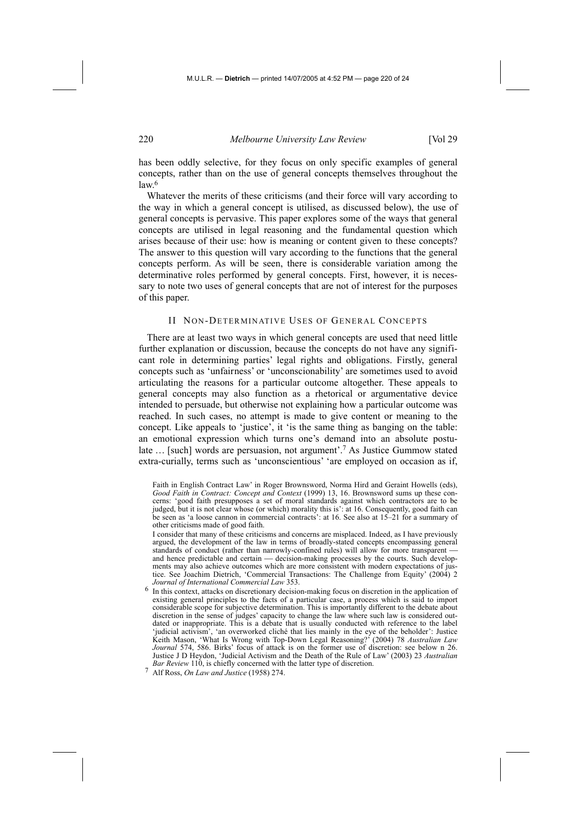has been oddly selective, for they focus on only specific examples of general concepts, rather than on the use of general concepts themselves throughout the  $law<sup>6</sup>$ 

Whatever the merits of these criticisms (and their force will vary according to the way in which a general concept is utilised, as discussed below), the use of general concepts is pervasive. This paper explores some of the ways that general concepts are utilised in legal reasoning and the fundamental question which arises because of their use: how is meaning or content given to these concepts? The answer to this question will vary according to the functions that the general concepts perform. As will be seen, there is considerable variation among the determinative roles performed by general concepts. First, however, it is necessary to note two uses of general concepts that are not of interest for the purposes of this paper.

#### II NON-DETERMINATIVE USES OF GENERAL CONCEPTS

There are at least two ways in which general concepts are used that need little further explanation or discussion, because the concepts do not have any significant role in determining parties' legal rights and obligations. Firstly, general concepts such as 'unfairness' or 'unconscionability' are sometimes used to avoid articulating the reasons for a particular outcome altogether. These appeals to general concepts may also function as a rhetorical or argumentative device intended to persuade, but otherwise not explaining how a particular outcome was reached. In such cases, no attempt is made to give content or meaning to the concept. Like appeals to 'justice', it 'is the same thing as banging on the table: an emotional expression which turns one's demand into an absolute postulate … [such] words are persuasion, not argument'.7 As Justice Gummow stated extra-curially, terms such as 'unconscientious' 'are employed on occasion as if,

 I consider that many of these criticisms and concerns are misplaced. Indeed, as I have previously argued, the development of the law in terms of broadly-stated concepts encompassing general standards of conduct (rather than narrowly-confined rules) will allow for more transparent and hence predictable and certain — decision-making processes by the courts. Such developments may also achieve outcomes which are more consistent with modern expectations of justice. See Joachim Dietrich, 'Commercial Transactions: The Challenge from Equity' (2004) 2 *Journal of International Commercial Law* 353.

6 In this context, attacks on discretionary decision-making focus on discretion in the application of existing general principles to the facts of a particular case, a process which is said to import considerable scope for subjective determination. This is importantly different to the debate about discretion in the sense of judges' capacity to change the law where such law is considered outdated or inappropriate. This is a debate that is usually conducted with reference to the label 'judicial activism', 'an overworked cliché that lies mainly in the eye of the beholder': Justice Keith Mason, 'What Is Wrong with Top-Down Legal Reasoning?' (2004) 78 *Australian Law Journal* 574, 586. Birks' focus of attack is on the former use of discretion: see below n 26. Justice J D Heydon, 'Judicial Activism and the Death of the Rule of Law' (2003) 23 *Australian Bar Review* 110, is chiefly concerned with the latter type of discretion.

7 Alf Ross, *On Law and Justice* (1958) 274.

Faith in English Contract Law' in Roger Brownsword, Norma Hird and Geraint Howells (eds), *Good Faith in Contract: Concept and Context* (1999) 13, 16. Brownsword sums up these concerns: 'good faith presupposes a set of moral standards against which contractors are to be judged, but it is not clear whose (or which) morality this is': at 16. Consequently, good faith can be seen as 'a loose cannon in commercial contracts': at 16. See also at 15–21 for a summary of other criticisms made of good faith.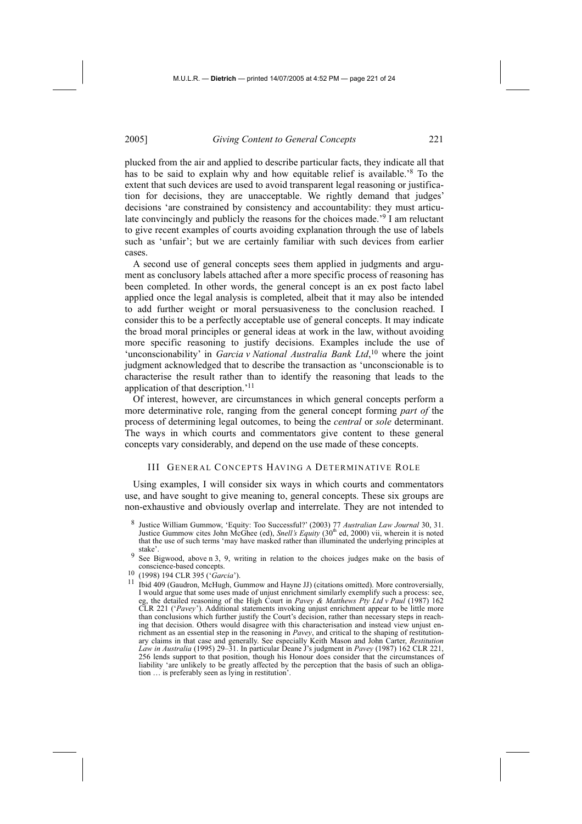plucked from the air and applied to describe particular facts, they indicate all that has to be said to explain why and how equitable relief is available.'8 To the extent that such devices are used to avoid transparent legal reasoning or justification for decisions, they are unacceptable. We rightly demand that judges' decisions 'are constrained by consistency and accountability: they must articulate convincingly and publicly the reasons for the choices made.'9 I am reluctant to give recent examples of courts avoiding explanation through the use of labels such as 'unfair'; but we are certainly familiar with such devices from earlier cases.

A second use of general concepts sees them applied in judgments and argument as conclusory labels attached after a more specific process of reasoning has been completed. In other words, the general concept is an ex post facto label applied once the legal analysis is completed, albeit that it may also be intended to add further weight or moral persuasiveness to the conclusion reached. I consider this to be a perfectly acceptable use of general concepts. It may indicate the broad moral principles or general ideas at work in the law, without avoiding more specific reasoning to justify decisions. Examples include the use of 'unconscionability' in *Garcia v National Australia Bank Ltd*,<sup>10</sup> where the joint judgment acknowledged that to describe the transaction as 'unconscionable is to characterise the result rather than to identify the reasoning that leads to the application of that description.'11

Of interest, however, are circumstances in which general concepts perform a more determinative role, ranging from the general concept forming *part of* the process of determining legal outcomes, to being the *central* or *sole* determinant. The ways in which courts and commentators give content to these general concepts vary considerably, and depend on the use made of these concepts.

#### III GENERAL CONCEPTS HAVING A DETERMINATIVE ROLE

Using examples, I will consider six ways in which courts and commentators use, and have sought to give meaning to, general concepts. These six groups are non-exhaustive and obviously overlap and interrelate. They are not intended to

- 8 Justice William Gummow, 'Equity: Too Successful?' (2003) 77 *Australian Law Journal* 30, 31. Justice Gummow cites John McGhee (ed), *Snell's Equity* (30th ed, 2000) vii, wherein it is noted that the use of such terms 'may have masked rather than illuminated the underlying principles at stake<sup>\*</sup>
- 9 See Bigwood, above n 3, 9, writing in relation to the choices judges make on the basis of conscience-based concepts.
- 
- conscience-based concepts. 10 (1998) 194 CLR 395 ('*Garcia*'). 11 Ibid 409 (Gaudron, McHugh, Gummow and Hayne JJ) (citations omitted). More controversially, I would argue that some uses made of unjust enrichment similarly exemplify such a process: see, eg, the detailed reasoning of the High Court in *Pavey & Matthews Pty Ltd v Paul* (1987) 162 CLR 221 ('*Pavey*'). Additional statements invoking unjust enrichment appear to be little more than conclusions which further justify the Court's decision, rather than necessary steps in reaching that decision. Others would disagree with this characterisation and instead view unjust enrichment as an essential step in the reasoning in *Pavey*, and critical to the shaping of restitutionary claims in that case and generally. See especially Keith Mason and John Carter, *Restitution Law in Australia* (1995) 29–31. In particular Deane J's judgment in *Pavey* (1987) 162 CLR 221, 256 lends support to that position, though his Honour does consider that the circumstances of liability 'are unlikely to be greatly affected by the perception that the basis of such an obligation … is preferably seen as lying in restitution'.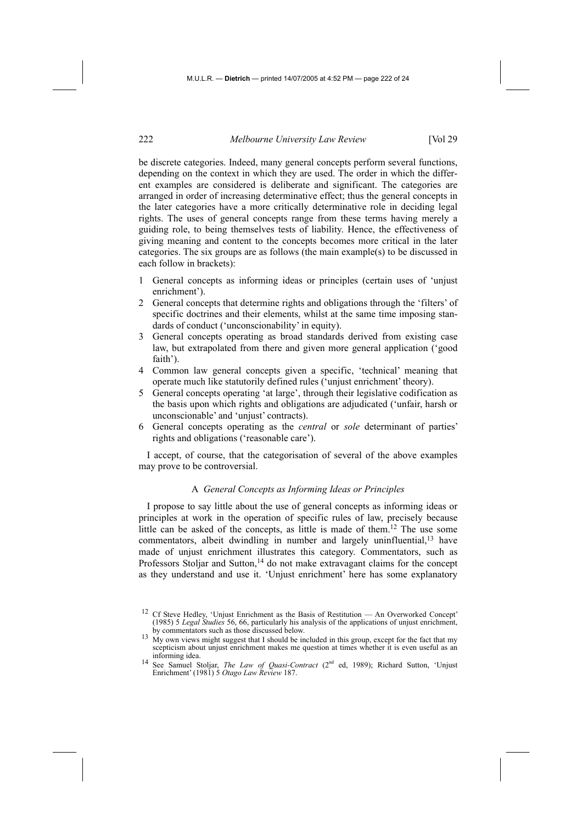be discrete categories. Indeed, many general concepts perform several functions, depending on the context in which they are used. The order in which the different examples are considered is deliberate and significant. The categories are arranged in order of increasing determinative effect; thus the general concepts in the later categories have a more critically determinative role in deciding legal rights. The uses of general concepts range from these terms having merely a guiding role, to being themselves tests of liability. Hence, the effectiveness of giving meaning and content to the concepts becomes more critical in the later categories. The six groups are as follows (the main example(s) to be discussed in each follow in brackets):

- 1 General concepts as informing ideas or principles (certain uses of 'unjust enrichment').
- 2 General concepts that determine rights and obligations through the 'filters' of specific doctrines and their elements, whilst at the same time imposing standards of conduct ('unconscionability' in equity).
- 3 General concepts operating as broad standards derived from existing case law, but extrapolated from there and given more general application ('good faith').
- 4 Common law general concepts given a specific, 'technical' meaning that operate much like statutorily defined rules ('unjust enrichment' theory).
- 5 General concepts operating 'at large', through their legislative codification as the basis upon which rights and obligations are adjudicated ('unfair, harsh or unconscionable' and 'unjust' contracts).
- 6 General concepts operating as the *central* or *sole* determinant of parties' rights and obligations ('reasonable care').

I accept, of course, that the categorisation of several of the above examples may prove to be controversial.

# A *General Concepts as Informing Ideas or Principles*

I propose to say little about the use of general concepts as informing ideas or principles at work in the operation of specific rules of law, precisely because little can be asked of the concepts, as little is made of them.12 The use some commentators, albeit dwindling in number and largely uninfluential,<sup>13</sup> have made of unjust enrichment illustrates this category. Commentators, such as Professors Stoljar and Sutton,<sup>14</sup> do not make extravagant claims for the concept as they understand and use it. 'Unjust enrichment' here has some explanatory

<sup>&</sup>lt;sup>12</sup> Cf Steve Hedley, 'Unjust Enrichment as the Basis of Restitution — An Overworked Concept' (1985) 5 *Legal Studies* 56, 66, particularly his analysis of the applications of unjust enrichment,

by commentators such as those discussed below.<br>My own views might suggest that I should be included in this group, except for the fact that my scepticism about unjust enrichment makes me question at times whether it is even useful as an informing idea.

<sup>&</sup>lt;sup>14</sup> See Samuel Stoljar, *The Law of Quasi-Contract* (2<sup>nd</sup> ed, 1989); Richard Sutton, 'Unjust Enrichment' (1981) 5 *Otago Law Review* 187.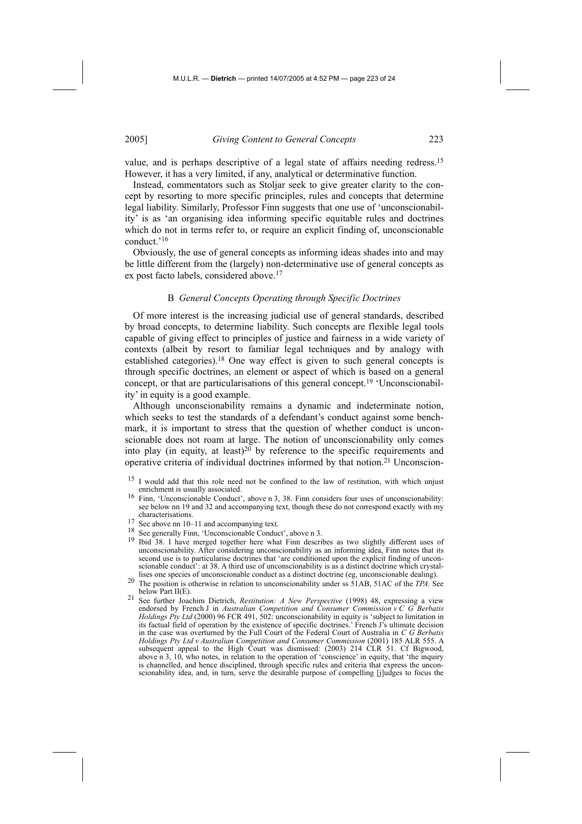value, and is perhaps descriptive of a legal state of affairs needing redress.15 However, it has a very limited, if any, analytical or determinative function.

Instead, commentators such as Stoljar seek to give greater clarity to the concept by resorting to more specific principles, rules and concepts that determine legal liability. Similarly, Professor Finn suggests that one use of 'unconscionability' is as 'an organising idea informing specific equitable rules and doctrines which do not in terms refer to, or require an explicit finding of, unconscionable conduct.'16

Obviously, the use of general concepts as informing ideas shades into and may be little different from the (largely) non-determinative use of general concepts as ex post facto labels, considered above.17

#### B *General Concepts Operating through Specific Doctrines*

Of more interest is the increasing judicial use of general standards, described by broad concepts, to determine liability. Such concepts are flexible legal tools capable of giving effect to principles of justice and fairness in a wide variety of contexts (albeit by resort to familiar legal techniques and by analogy with established categories).18 One way effect is given to such general concepts is through specific doctrines, an element or aspect of which is based on a general concept, or that are particularisations of this general concept.19 'Unconscionability' in equity is a good example.

Although unconscionability remains a dynamic and indeterminate notion, which seeks to test the standards of a defendant's conduct against some benchmark, it is important to stress that the question of whether conduct is unconscionable does not roam at large. The notion of unconscionability only comes into play (in equity, at least) $20$  by reference to the specific requirements and operative criteria of individual doctrines informed by that notion.21 Unconscion-

- <sup>15</sup> I would add that this role need not be confined to the law of restitution, with which unjust enrichment is usually associated.
- <sup>16</sup> Finn, 'Unconscionable Conduct', above n 3, 38. Finn considers four uses of unconscionability: see below nn 19 and 32 and accompanying text, though these do not correspond exactly with my characterisations.
- 
- 
- 17 See above nn 10–11 and accompanying text.<br>
<sup>18</sup> See generally Finn, 'Unconscionable Conduct', above n 3.<br>
<sup>19</sup> Ibid 38. I have merged together here what Finn describes as two slightly different uses of unconscionability. After considering unconscionability as an informing idea, Finn notes that its second use is to particularise doctrines that 'are conditioned upon the explicit finding of unconscionable conduct': at 38. A third use of unconscionability is as a distinct doctrine which crystallises one species of unconscionable conduct as a distinct doctrine (eg. unconscionable dealing).
- lises one species of unconscionable conduct as a distinct doctrine (eg, unconscionable dealing). 20 The position is otherwise in relation to unconscionability under ss 51AB, 51AC of the *TPA*. See
- below Part II(E). 21 See further Joachim Dietrich, *Restitution: A New Perspective* (1998) 48, expressing a view endorsed by French J in *Australian Competition and Consumer Commission v C G Berbatis Holdings Pty Ltd* (2000) 96 FCR 491, 502: unconscionability in equity is 'subject to limitation in its factual field of operation by the existence of specific doctrines.' French J's ultimate decision in the case was overturned by the Full Court of the Federal Court of Australia in *C G Berbatis Holdings Pty Ltd v Australian Competition and Consumer Commission* (2001) 185 ALR 555. A subsequent appeal to the High Court was dismissed: (2003) 214 CLR 51. Cf Bigwood, above n 3, 10, who notes, in relation to the operation of 'conscience' in equity, that 'the inquiry is channelled, and hence disciplined, through specific rules and criteria that express the unconscionability idea, and, in turn, serve the desirable purpose of compelling [j]udges to focus the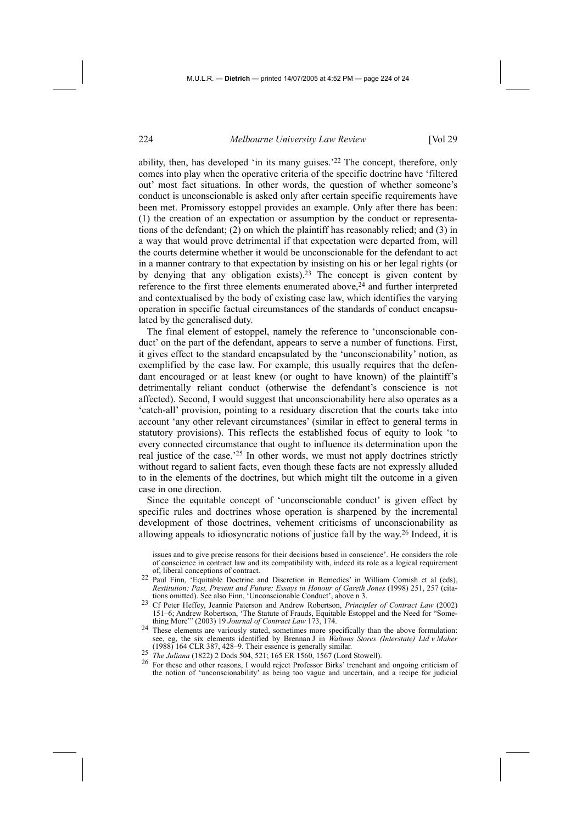ability, then, has developed 'in its many guises.'22 The concept, therefore, only comes into play when the operative criteria of the specific doctrine have 'filtered out' most fact situations. In other words, the question of whether someone's conduct is unconscionable is asked only after certain specific requirements have been met. Promissory estoppel provides an example. Only after there has been: (1) the creation of an expectation or assumption by the conduct or representations of the defendant; (2) on which the plaintiff has reasonably relied; and (3) in a way that would prove detrimental if that expectation were departed from, will the courts determine whether it would be unconscionable for the defendant to act in a manner contrary to that expectation by insisting on his or her legal rights (or by denying that any obligation exists).23 The concept is given content by reference to the first three elements enumerated above, $24$  and further interpreted and contextualised by the body of existing case law, which identifies the varying operation in specific factual circumstances of the standards of conduct encapsulated by the generalised duty.

The final element of estoppel, namely the reference to 'unconscionable conduct' on the part of the defendant, appears to serve a number of functions. First, it gives effect to the standard encapsulated by the 'unconscionability' notion, as exemplified by the case law. For example, this usually requires that the defendant encouraged or at least knew (or ought to have known) of the plaintiff's detrimentally reliant conduct (otherwise the defendant's conscience is not affected). Second, I would suggest that unconscionability here also operates as a 'catch-all' provision, pointing to a residuary discretion that the courts take into account 'any other relevant circumstances' (similar in effect to general terms in statutory provisions). This reflects the established focus of equity to look 'to every connected circumstance that ought to influence its determination upon the real justice of the case.<sup>'25</sup> In other words, we must not apply doctrines strictly without regard to salient facts, even though these facts are not expressly alluded to in the elements of the doctrines, but which might tilt the outcome in a given case in one direction.

Since the equitable concept of 'unconscionable conduct' is given effect by specific rules and doctrines whose operation is sharpened by the incremental development of those doctrines, vehement criticisms of unconscionability as allowing appeals to idiosyncratic notions of justice fall by the way.26 Indeed, it is

issues and to give precise reasons for their decisions based in conscience'. He considers the role of conscience in contract law and its compatibility with, indeed its role as a logical requirement

- of, liberal conceptions of contract. 22 Paul Finn, 'Equitable Doctrine and Discretion in Remedies' in William Cornish et al (eds), *Restitution: Past, Present and Future: Essays in Honour of Gareth Jones* (1998) 251, 257 (cita-
- tions omitted). See also Finn, 'Unconscionable Conduct', above n 3. 23 Cf Peter Heffey, Jeannie Paterson and Andrew Robertson, *Principles of Contract Law* (2002) 151–6; Andrew Robertson, 'The Statute of Frauds, Equitable Estoppel and the Need for "Something More"' (2003) 19 *Journal of Contract Law* 173, 174.
- <sup>24</sup> These elements are variously stated, sometimes more specifically than the above formulation: see, eg, the six elements identified by Brennan J in *Waltons Stores (Interstate) Ltd v Maher*  (1988) 164 CLR 387, 428–9. Their essence is generally similar.<br>
<sup>25</sup> *The Juliana* (1822) 2 Dods 504, 521; 165 ER 1560, 1567 (Lord Stowell).<br>
<sup>26</sup> For these and other reasons, I would reject Professor Birks' trenchant and
- 
- the notion of 'unconscionability' as being too vague and uncertain, and a recipe for judicial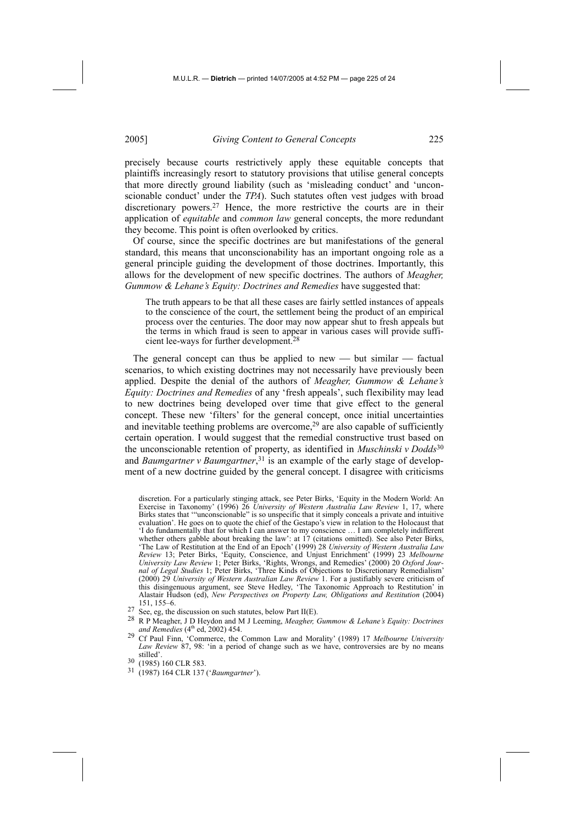precisely because courts restrictively apply these equitable concepts that plaintiffs increasingly resort to statutory provisions that utilise general concepts that more directly ground liability (such as 'misleading conduct' and 'unconscionable conduct' under the *TPA*). Such statutes often vest judges with broad discretionary powers.<sup>27</sup> Hence, the more restrictive the courts are in their application of *equitable* and *common law* general concepts, the more redundant they become. This point is often overlooked by critics.

Of course, since the specific doctrines are but manifestations of the general standard, this means that unconscionability has an important ongoing role as a general principle guiding the development of those doctrines. Importantly, this allows for the development of new specific doctrines. The authors of *Meagher, Gummow & Lehane's Equity: Doctrines and Remedies* have suggested that:

The truth appears to be that all these cases are fairly settled instances of appeals to the conscience of the court, the settlement being the product of an empirical process over the centuries. The door may now appear shut to fresh appeals but the terms in which fraud is seen to appear in various cases will provide sufficient lee-ways for further development.28

The general concept can thus be applied to new  $-$  but similar  $-$  factual scenarios, to which existing doctrines may not necessarily have previously been applied. Despite the denial of the authors of *Meagher, Gummow & Lehane's Equity: Doctrines and Remedies* of any 'fresh appeals', such flexibility may lead to new doctrines being developed over time that give effect to the general concept. These new 'filters' for the general concept, once initial uncertainties and inevitable teething problems are overcome,<sup>29</sup> are also capable of sufficiently certain operation. I would suggest that the remedial constructive trust based on the unconscionable retention of property, as identified in *Muschinski v Dodds*<sup>30</sup> and *Baumgartner v Baumgartner*, 31 is an example of the early stage of development of a new doctrine guided by the general concept. I disagree with criticisms

discretion. For a particularly stinging attack, see Peter Birks, 'Equity in the Modern World: An Exercise in Taxonomy' (1996) 26 *University of Western Australia Law Review* 1, 17, where Birks states that '"unconscionable" is so unspecific that it simply conceals a private and intuitive evaluation'. He goes on to quote the chief of the Gestapo's view in relation to the Holocaust that 'I do fundamentally that for which I can answer to my conscience … I am completely indifferent whether others gabble about breaking the law': at 17 (citations omitted). See also Peter Birks, 'The Law of Restitution at the End of an Epoch' (1999) 28 *University of Western Australia Law Review* 13; Peter Birks, 'Equity, Conscience, and Unjust Enrichment' (1999) 23 *Melbourne University Law Review* 1; Peter Birks, 'Rights, Wrongs, and Remedies' (2000) 20 *Oxford Journal of Legal Studies* 1; Peter Birks, 'Three Kinds of Objections to Discretionary Remedialism' (2000) 29 *University of Western Australian Law Review* 1. For a justifiably severe criticism of this disingenuous argument, see Steve Hedley, 'The Taxonomic Approach to Restitution' in Alastair Hudson (ed), *New Perspectives on Property Law, Obligations and Restitution* (2004) 151, 155–6.

- 
- 27 See, eg, the discussion on such statutes, below Part II(E).<br>
28 R P Meagher, J D Heydon and M J Leeming, *Meagher, Gummow & Lehane's Equity: Doctrines and Remedies* (4<sup>th</sup> ed. 2002) 454.

- 
- 30 (1985) 160 CLR 583. 31 (1987) 164 CLR 137 ('*Baumgartner*').

<sup>&</sup>lt;sup>29</sup> Cf Paul Finn, 'Commerce, the Common Law and Morality' (1989) 17 *Melbourne University Law Review* 87, 98: 'in a period of change such as we have, controversies are by no means stilled'.<br>30 (1985) 160 CLR 583.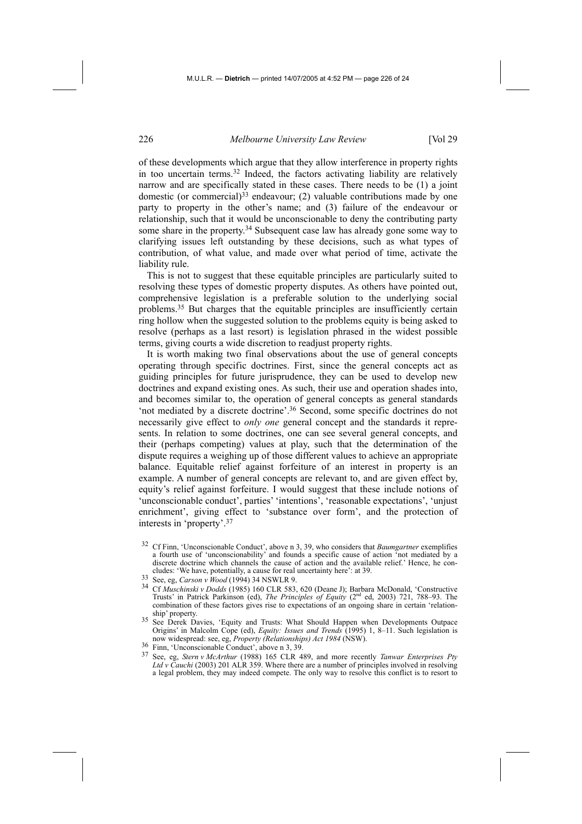of these developments which argue that they allow interference in property rights in too uncertain terms.32 Indeed, the factors activating liability are relatively narrow and are specifically stated in these cases. There needs to be (1) a joint domestic (or commercial)<sup>33</sup> endeavour; (2) valuable contributions made by one party to property in the other's name; and (3) failure of the endeavour or relationship, such that it would be unconscionable to deny the contributing party some share in the property.<sup>34</sup> Subsequent case law has already gone some way to clarifying issues left outstanding by these decisions, such as what types of contribution, of what value, and made over what period of time, activate the liability rule.

This is not to suggest that these equitable principles are particularly suited to resolving these types of domestic property disputes. As others have pointed out, comprehensive legislation is a preferable solution to the underlying social problems.35 But charges that the equitable principles are insufficiently certain ring hollow when the suggested solution to the problems equity is being asked to resolve (perhaps as a last resort) is legislation phrased in the widest possible terms, giving courts a wide discretion to readjust property rights.

It is worth making two final observations about the use of general concepts operating through specific doctrines. First, since the general concepts act as guiding principles for future jurisprudence, they can be used to develop new doctrines and expand existing ones. As such, their use and operation shades into, and becomes similar to, the operation of general concepts as general standards 'not mediated by a discrete doctrine'.36 Second, some specific doctrines do not necessarily give effect to *only one* general concept and the standards it represents. In relation to some doctrines, one can see several general concepts, and their (perhaps competing) values at play, such that the determination of the dispute requires a weighing up of those different values to achieve an appropriate balance. Equitable relief against forfeiture of an interest in property is an example. A number of general concepts are relevant to, and are given effect by, equity's relief against forfeiture. I would suggest that these include notions of 'unconscionable conduct', parties' 'intentions', 'reasonable expectations', 'unjust enrichment', giving effect to 'substance over form', and the protection of interests in 'property'.37

- 32 Cf Finn, 'Unconscionable Conduct', above n 3, 39, who considers that *Baumgartner* exemplifies a fourth use of 'unconscionability' and founds a specific cause of action 'not mediated by a discrete doctrine which channels the cause of action and the available relief.' Hence, he con-<br>cludes: 'We have, potentially, a cause for real uncertainty here': at 39.
- 
- cludes: 'We have, potentially, a cause for real uncertainty here': at 39.<br><sup>33</sup> See, eg, *Carson v Wood* (1994) 34 NSWLR 9.<br><sup>34</sup> Cf *Muschinski v Dodds* (1985) 160 CLR 583, 620 (Deane J); Barbara McDonald, 'Constructive Trusts' in Patrick Parkinson (ed), *The Principles of Equity* (2nd ed, 2003) 721, 788–93. The combination of these factors gives rise to expectations of an ongoing share in certain 'relation-
- ship' property. 35 See Derek Davies, 'Equity and Trusts: What Should Happen when Developments Outpace Origins' in Malcolm Cope (ed), *Equity: Issues and Trends* (1995) 1, 8–11. Such legislation is now widespread: see, eg, *Property (Relationships) Act 1984* (NSW).<br><sup>36</sup> Finn, 'Unconscionable Conduct', above n 3, 39.<br><sup>37</sup> See, eg, *Stem u Medudum* (1998) 165 CLB 489, and mars recen
- 
- 37 See, eg, *Stern v McArthur* (1988) 165 CLR 489, and more recently *Tanwar Enterprises Pty*  Ltd v Cauchi (2003) 201 ALR 359. Where there are a number of principles involved in resolving a legal problem, they may indeed compete. The only way to resolve this conflict is to resort to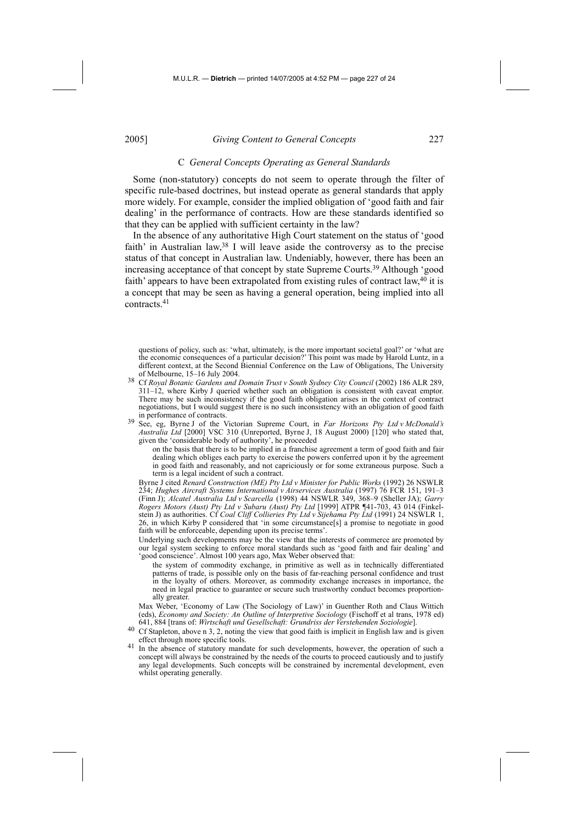### C *General Concepts Operating as General Standards*

Some (non-statutory) concepts do not seem to operate through the filter of specific rule-based doctrines, but instead operate as general standards that apply more widely. For example, consider the implied obligation of 'good faith and fair dealing' in the performance of contracts. How are these standards identified so that they can be applied with sufficient certainty in the law?

In the absence of any authoritative High Court statement on the status of 'good faith' in Australian law,  $38$  I will leave aside the controversy as to the precise status of that concept in Australian law. Undeniably, however, there has been an increasing acceptance of that concept by state Supreme Courts.39 Although 'good faith' appears to have been extrapolated from existing rules of contract law,40 it is a concept that may be seen as having a general operation, being implied into all contracts.41

of Melbourne, 15–16 July 2004. 38 Cf *Royal Botanic Gardens and Domain Trust v South Sydney City Council* (2002) 186 ALR 289, 311–12, where Kirby J queried whether such an obligation is consistent with caveat emptor. There may be such inconsistency if the good faith obligation arises in the context of contract negotiations, but I would suggest there is no such inconsistency with an obligation of good faith in performance of contracts. in performance of contracts. 39 See, eg, Byrne J of the Victorian Supreme Court, in *Far Horizons Pty Ltd v McDonald's* 

*Australia Ltd* [2000] VSC 310 (Unreported, Byrne J, 18 August 2000) [120] who stated that, given the 'considerable body of authority', he proceeded

 on the basis that there is to be implied in a franchise agreement a term of good faith and fair dealing which obliges each party to exercise the powers conferred upon it by the agreement in good faith and reasonably, and not capriciously or for some extraneous purpose. Such a term is a legal incident of such a contract.

 Byrne J cited *Renard Construction (ME) Pty Ltd v Minister for Public Works* (1992) 26 NSWLR 234; *Hughes Aircraft Systems International v Airservices Australia* (1997) 76 FCR 151, 191–3 (Finn J); *Alcatel Australia Ltd v Scarcella* (1998) 44 NSWLR 349, 368–9 (Sheller JA); *Garry Rogers Motors (Aust) Pty Ltd v Subaru (Aust) Pty Ltd* [1999] ATPR ¶41-703, 43 014 (Finkelstein J) as authorities. Cf *Coal Cliff Collieries Pty Ltd v Sijehama Pty Ltd* (1991) 24 NSWLR 1, 26, in which Kirby P considered that 'in some circumstance[s] a promise to negotiate in good faith will be enforceable, depending upon its precise terms'.

 Underlying such developments may be the view that the interests of commerce are promoted by our legal system seeking to enforce moral standards such as 'good faith and fair dealing' and 'good conscience'. Almost 100 years ago, Max Weber observed that:

 the system of commodity exchange, in primitive as well as in technically differentiated patterns of trade, is possible only on the basis of far-reaching personal confidence and trust in the loyalty of others. Moreover, as commodity exchange increases in importance, the need in legal practice to guarantee or secure such trustworthy conduct becomes proportionally greater.

Max Weber, 'Economy of Law (The Sociology of Law)' in Guenther Roth and Claus Wittich (eds), *Economy and Society: An Outline of Interpretive Sociology* (Fischoff et al trans, 1978 ed) 641, 884 [trans of: *Wirtschaft und Gesellschaft: Grundriss der Verstehenden Soziologie*].

40 Cf Stapleton, above n 3, 2, noting the view that good faith is implicit in English law and is given effect through more specific tools.

<sup>41</sup> In the absence of statutory mandate for such developments, however, the operation of such a concept will always be constrained by the needs of the courts to proceed cautiously and to justify any legal developments. Such concepts will be constrained by incremental development, even whilst operating generally.

questions of policy, such as: 'what, ultimately, is the more important societal goal?' or 'what are the economic consequences of a particular decision?' This point was made by Harold Luntz, in a different context, at the Second Biennial Conference on the Law of Obligations, The University of Melbourne, 15–16 July 2004.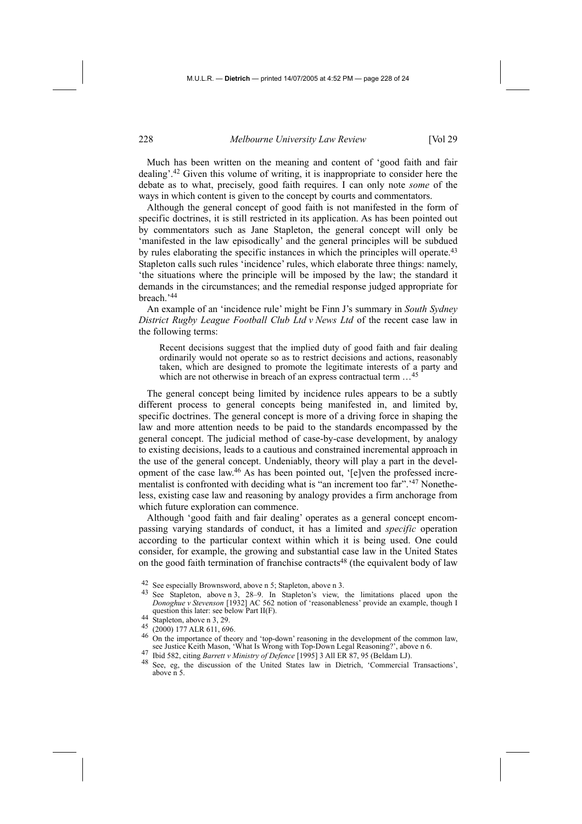Much has been written on the meaning and content of 'good faith and fair dealing'.42 Given this volume of writing, it is inappropriate to consider here the debate as to what, precisely, good faith requires. I can only note *some* of the ways in which content is given to the concept by courts and commentators.

Although the general concept of good faith is not manifested in the form of specific doctrines, it is still restricted in its application. As has been pointed out by commentators such as Jane Stapleton, the general concept will only be 'manifested in the law episodically' and the general principles will be subdued by rules elaborating the specific instances in which the principles will operate.43 Stapleton calls such rules 'incidence' rules, which elaborate three things: namely, 'the situations where the principle will be imposed by the law; the standard it demands in the circumstances; and the remedial response judged appropriate for breach.'44

An example of an 'incidence rule' might be Finn J's summary in *South Sydney District Rugby League Football Club Ltd v News Ltd* of the recent case law in the following terms:

Recent decisions suggest that the implied duty of good faith and fair dealing ordinarily would not operate so as to restrict decisions and actions, reasonably taken, which are designed to promote the legitimate interests of a party and which are not otherwise in breach of an express contractual term  $\dots^{45}$ 

The general concept being limited by incidence rules appears to be a subtly different process to general concepts being manifested in, and limited by, specific doctrines. The general concept is more of a driving force in shaping the law and more attention needs to be paid to the standards encompassed by the general concept. The judicial method of case-by-case development, by analogy to existing decisions, leads to a cautious and constrained incremental approach in the use of the general concept. Undeniably, theory will play a part in the development of the case law.46 As has been pointed out, '[e]ven the professed incrementalist is confronted with deciding what is "an increment too far".'47 Nonetheless, existing case law and reasoning by analogy provides a firm anchorage from which future exploration can commence.

Although 'good faith and fair dealing' operates as a general concept encompassing varying standards of conduct, it has a limited and *specific* operation according to the particular context within which it is being used. One could consider, for example, the growing and substantial case law in the United States on the good faith termination of franchise contracts<sup>48</sup> (the equivalent body of law

- 42 See especially Brownsword, above n 5; Stapleton, above n 3.<br>43 See Stapleton, above n 3, 28–9. In Stapleton's view, the limitations placed upon the *Donoghue v Stevenson* [1932] AC 562 notion of 'reasonableness' provide an example, though I question this later: see below Part II(F).<br>  $^{44}$  Stapleton, above n 3, 29.<br>  $^{45}$  (2000) 177 ALR 611, 696.<br>  $^{46}$  On the importance of theory and 'top-down' reasoning in the development of the common law,
- 
- 
- see Justice Keith Mason, 'What Is Wrong with Top-Down Legal Reasoning?', above n 6.<br><sup>47</sup> Ibid 582, citing *Barrett v Ministry of Defence* [1995] 3 All ER 87, 95 (Beldam LJ).<br><sup>48</sup> See, eg, the discussion of the United State

See, eg, the discussion of the United States law in Dietrich, 'Commercial Transactions', above n 5.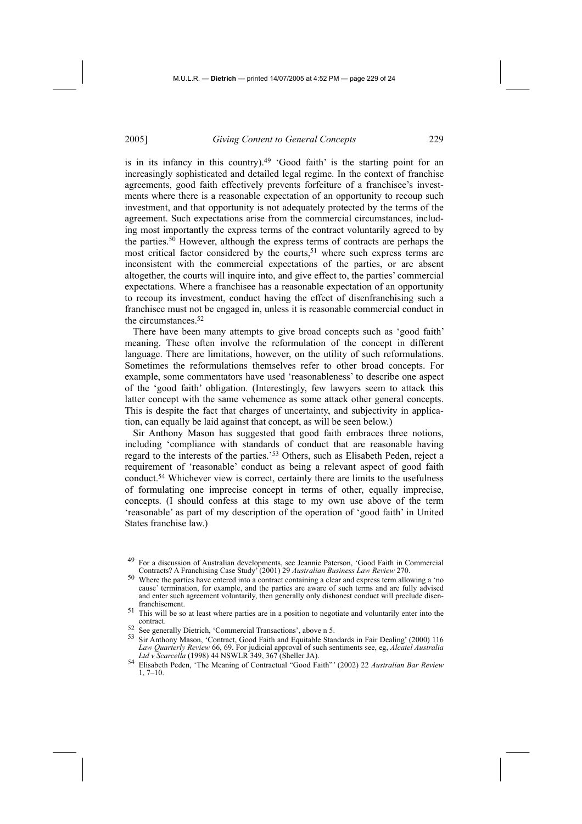is in its infancy in this country).<sup>49</sup> 'Good faith' is the starting point for an increasingly sophisticated and detailed legal regime. In the context of franchise agreements, good faith effectively prevents forfeiture of a franchisee's investments where there is a reasonable expectation of an opportunity to recoup such investment, and that opportunity is not adequately protected by the terms of the agreement. Such expectations arise from the commercial circumstances, including most importantly the express terms of the contract voluntarily agreed to by the parties.50 However, although the express terms of contracts are perhaps the most critical factor considered by the courts,<sup>51</sup> where such express terms are inconsistent with the commercial expectations of the parties, or are absent altogether, the courts will inquire into, and give effect to, the parties' commercial expectations. Where a franchisee has a reasonable expectation of an opportunity to recoup its investment, conduct having the effect of disenfranchising such a franchisee must not be engaged in, unless it is reasonable commercial conduct in the circumstances.52

There have been many attempts to give broad concepts such as 'good faith' meaning. These often involve the reformulation of the concept in different language. There are limitations, however, on the utility of such reformulations. Sometimes the reformulations themselves refer to other broad concepts. For example, some commentators have used 'reasonableness' to describe one aspect of the 'good faith' obligation. (Interestingly, few lawyers seem to attack this latter concept with the same vehemence as some attack other general concepts. This is despite the fact that charges of uncertainty, and subjectivity in application, can equally be laid against that concept, as will be seen below.)

Sir Anthony Mason has suggested that good faith embraces three notions, including 'compliance with standards of conduct that are reasonable having regard to the interests of the parties.'53 Others, such as Elisabeth Peden, reject a requirement of 'reasonable' conduct as being a relevant aspect of good faith conduct.54 Whichever view is correct, certainly there are limits to the usefulness of formulating one imprecise concept in terms of other, equally imprecise, concepts. (I should confess at this stage to my own use above of the term 'reasonable' as part of my description of the operation of 'good faith' in United States franchise law.)

<sup>49</sup> For a discussion of Australian developments, see Jeannie Paterson, 'Good Faith in Commercial Contracts? A Franchising Case Study' (2001) 29 *Australian Business Law Review* 270.

<sup>50</sup> Where the parties have entered into a contract containing a clear and express term allowing a 'no cause' termination, for example, and the parties are aware of such terms and are fully advised and enter such agreement voluntarily, then generally only dishonest conduct will preclude disenfranchisement.

<sup>&</sup>lt;sup>51</sup> This will be so at least where parties are in a position to negotiate and voluntarily enter into the contract.

<sup>52</sup> See generally Dietrich, 'Commercial Transactions', above n 5.<br>53 Sir Anthony Mason, 'Contract, Good Faith and Equitable Standards in Fair Dealing' (2000) 116 *Law Quarterly Review* 66, 69. For judicial approval of such sentiments see, eg, *Alcatel Australia* 

<sup>&</sup>lt;sup>54</sup> Elisabeth Peden, 'The Meaning of Contractual "Good Faith"' (2002) 22 *Australian Bar Review*  $1, 7-10.$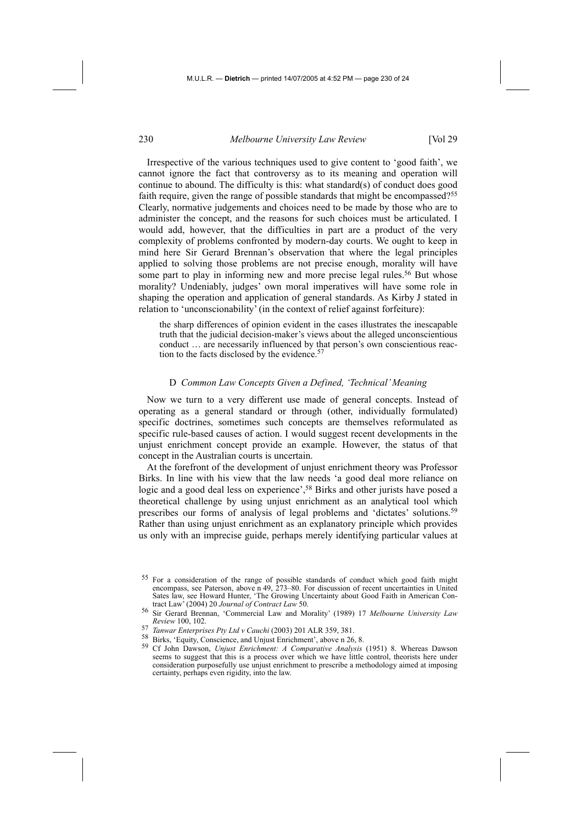Irrespective of the various techniques used to give content to 'good faith', we cannot ignore the fact that controversy as to its meaning and operation will continue to abound. The difficulty is this: what standard(s) of conduct does good faith require, given the range of possible standards that might be encompassed?<sup>55</sup> Clearly, normative judgements and choices need to be made by those who are to administer the concept, and the reasons for such choices must be articulated. I would add, however, that the difficulties in part are a product of the very complexity of problems confronted by modern-day courts. We ought to keep in mind here Sir Gerard Brennan's observation that where the legal principles applied to solving those problems are not precise enough, morality will have some part to play in informing new and more precise legal rules.<sup>56</sup> But whose morality? Undeniably, judges' own moral imperatives will have some role in shaping the operation and application of general standards. As Kirby J stated in relation to 'unconscionability' (in the context of relief against forfeiture):

the sharp differences of opinion evident in the cases illustrates the inescapable truth that the judicial decision-maker's views about the alleged unconscientious conduct … are necessarily influenced by that person's own conscientious reaction to the facts disclosed by the evidence.<sup>57</sup>

#### D *Common Law Concepts Given a Defined, 'Technical' Meaning*

Now we turn to a very different use made of general concepts. Instead of operating as a general standard or through (other, individually formulated) specific doctrines, sometimes such concepts are themselves reformulated as specific rule-based causes of action. I would suggest recent developments in the unjust enrichment concept provide an example. However, the status of that concept in the Australian courts is uncertain.

At the forefront of the development of unjust enrichment theory was Professor Birks. In line with his view that the law needs 'a good deal more reliance on logic and a good deal less on experience',58 Birks and other jurists have posed a theoretical challenge by using unjust enrichment as an analytical tool which prescribes our forms of analysis of legal problems and 'dictates' solutions.<sup>59</sup> Rather than using unjust enrichment as an explanatory principle which provides us only with an imprecise guide, perhaps merely identifying particular values at

<sup>55</sup> For a consideration of the range of possible standards of conduct which good faith might encompass, see Paterson, above n 49, 273–80. For discussion of recent uncertainties in United Sates law, see Howard Hunter, 'The Growing Uncertainty about Good Faith in American Contract Law' (2004) 20 *Journal of Contract Law* 50.

<sup>56</sup> Sir Gerard Brennan, 'Commercial Law and Morality' (1989) 17 *Melbourne University Law Review* 100, 102.<br> *FT* Tanwar Enterprises Pty Ltd v Cauchi (2003) 201 ALR 359, 381.

<sup>58</sup> Birks, 'Equity, Conscience, and Unjust Enrichment', above n 26, 8.<br>59 Cf John Dawson, *Unjust Enrichment: A Comparative Analysis* (1951) 8. Whereas Dawson seems to suggest that this is a process over which we have little control, theorists here under consideration purposefully use unjust enrichment to prescribe a methodology aimed at imposing certainty, perhaps even rigidity, into the law.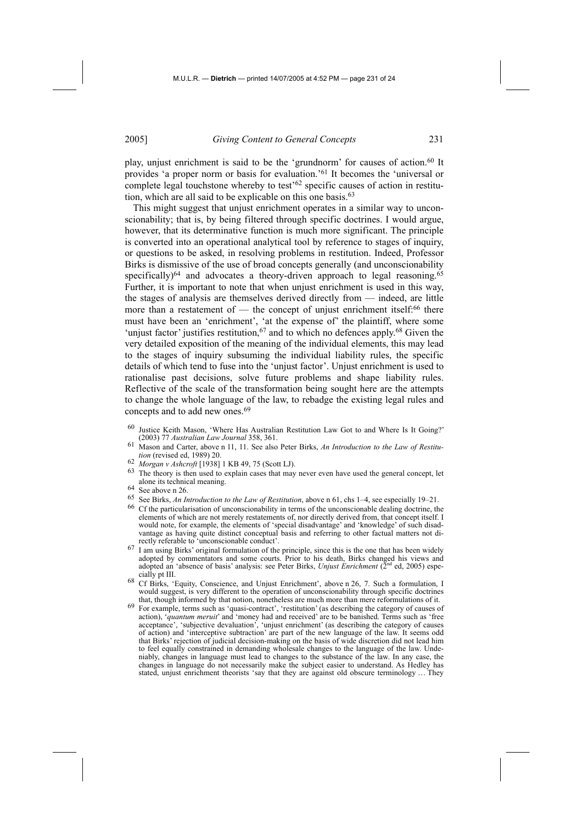play, unjust enrichment is said to be the 'grundnorm' for causes of action.<sup>60</sup> It provides 'a proper norm or basis for evaluation.'61 It becomes the 'universal or complete legal touchstone whereby to test'62 specific causes of action in restitution, which are all said to be explicable on this one basis.<sup>63</sup>

This might suggest that unjust enrichment operates in a similar way to unconscionability; that is, by being filtered through specific doctrines. I would argue, however, that its determinative function is much more significant. The principle is converted into an operational analytical tool by reference to stages of inquiry, or questions to be asked, in resolving problems in restitution. Indeed, Professor Birks is dismissive of the use of broad concepts generally (and unconscionability specifically) $64$  and advocates a theory-driven approach to legal reasoning. $65$ Further, it is important to note that when unjust enrichment is used in this way, the stages of analysis are themselves derived directly from — indeed, are little more than a restatement of — the concept of unjust enrichment itself:<sup>66</sup> there must have been an 'enrichment', 'at the expense of' the plaintiff, where some 'unjust factor' justifies restitution, $67$  and to which no defences apply. $68$  Given the very detailed exposition of the meaning of the individual elements, this may lead to the stages of inquiry subsuming the individual liability rules, the specific details of which tend to fuse into the 'unjust factor'. Unjust enrichment is used to rationalise past decisions, solve future problems and shape liability rules. Reflective of the scale of the transformation being sought here are the attempts to change the whole language of the law, to rebadge the existing legal rules and concepts and to add new ones.<sup>69</sup>

- 60 Justice Keith Mason, 'Where Has Australian Restitution Law Got to and Where Is It Going?' (2003) 77 *Australian Law Journal* 358, 361.
- Mason and Carter, above n 11, 11. See also Peter Birks, *An Introduction to the Law of Restitution* (revised ed, 1989) 20.
- 
- *tion* (revised ed, 1989) 20.<br> *tion* (revised ed, 1998) 1 KB 49, 75 (Scott LJ).<br>
<sup>63</sup> The theory is then used to explain cases that may never even have used the general concept, let alone its technical meaning. 64 See above n 26.
- 
- 
- <sup>65</sup> See Birks, *An Introduction to the Law of Restitution*, above n 61, chs 1–4, see especially 19–21.<br><sup>66</sup> Cf the particularisation of unconscionability in terms of the unconscionable dealing doctrine, the elements of which are not merely restatements of, nor directly derived from, that concept itself. I would note, for example, the elements of 'special disadvantage' and 'knowledge' of such disadvantage as having quite distinct conceptual basis and referring to other factual matters not directly referable to 'unconscionable conduct'.
- rectly referable to 'unconscionable conduct'.<br><sup>67</sup> I am using Birks' original formulation of the principle, since this is the one that has been widely adopted by commentators and some courts. Prior to his death, Birks changed his views and adopted an 'absence of basis' analysis: see Peter Birks, *Unjust Enrichment* (2<sup>nd</sup> ed, 2005) espe-<br>cially pt III.
- <sup>68</sup> Cf Birks, 'Equity, Conscience, and Unjust Enrichment', above n 26, 7. Such a formulation, I would suggest, is very different to the operation of unconscionability through specific doctrines
- that, though informed by that notion, nonetheless are much more than mere reformulations of it. 69 For example, terms such as 'quasi-contract', 'restitution' (as describing the category of causes of action), '*quantum meruit*' and 'money had and received' are to be banished. Terms such as 'free acceptance', 'subjective devaluation', 'unjust enrichment' (as describing the category of causes of action) and 'interceptive subtraction' are part of the new language of the law. It seems odd that Birks' rejection of judicial decision-making on the basis of wide discretion did not lead him to feel equally constrained in demanding wholesale changes to the language of the law. Undeniably, changes in language must lead to changes to the substance of the law. In any case, the changes in language do not necessarily make the subject easier to understand. As Hedley has stated, unjust enrichment theorists 'say that they are against old obscure terminology … They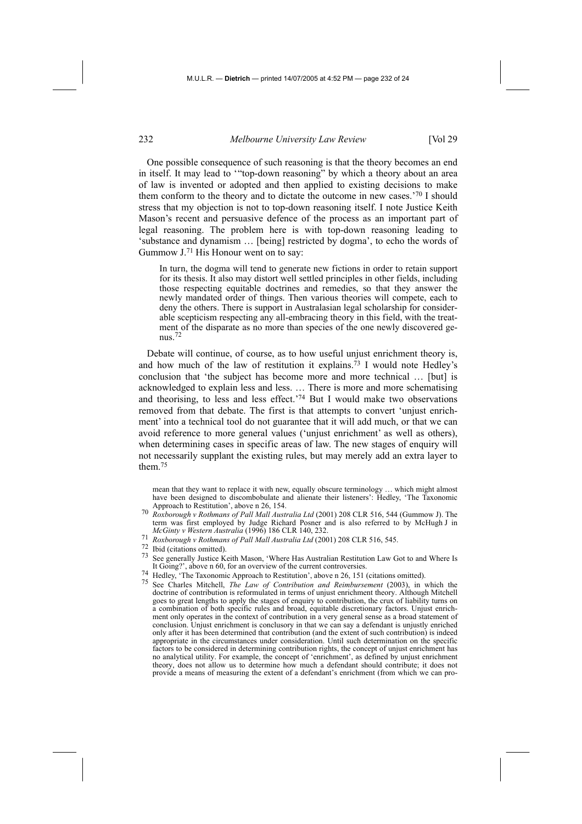One possible consequence of such reasoning is that the theory becomes an end in itself. It may lead to '"top-down reasoning" by which a theory about an area of law is invented or adopted and then applied to existing decisions to make them conform to the theory and to dictate the outcome in new cases.'70 I should stress that my objection is not to top-down reasoning itself. I note Justice Keith Mason's recent and persuasive defence of the process as an important part of legal reasoning. The problem here is with top-down reasoning leading to 'substance and dynamism … [being] restricted by dogma', to echo the words of Gummow J.71 His Honour went on to say:

In turn, the dogma will tend to generate new fictions in order to retain support for its thesis. It also may distort well settled principles in other fields, including those respecting equitable doctrines and remedies, so that they answer the newly mandated order of things. Then various theories will compete, each to deny the others. There is support in Australasian legal scholarship for considerable scepticism respecting any all-embracing theory in this field, with the treatment of the disparate as no more than species of the one newly discovered genus.72

Debate will continue, of course, as to how useful unjust enrichment theory is, and how much of the law of restitution it explains.73 I would note Hedley's conclusion that 'the subject has become more and more technical … [but] is acknowledged to explain less and less. … There is more and more schematising and theorising, to less and less effect.'74 But I would make two observations removed from that debate. The first is that attempts to convert 'unjust enrichment' into a technical tool do not guarantee that it will add much, or that we can avoid reference to more general values ('unjust enrichment' as well as others), when determining cases in specific areas of law. The new stages of enquiry will not necessarily supplant the existing rules, but may merely add an extra layer to them.75

mean that they want to replace it with new, equally obscure terminology … which might almost have been designed to discombobulate and alienate their listeners': Hedley, 'The Taxonomic

- Approach to Restitution', above n 26, 154. 70 *Roxborough v Rothmans of Pall Mall Australia Ltd* (2001) 208 CLR 516, 544 (Gummow J). The term was first employed by Judge Richard Posner and is also referred to by McHugh J in  $McGinty$  *v Western Australia* (1996) 186 CLR 140, 232.
- 
- 
- <sup>71</sup> Roxborough v Rothmans of Pall Mall Australia Ltd (2001) 208 CLR 516, 545.<br>
<sup>72</sup> Ibid (citations omitted).<br>
<sup>73</sup> See generally Justice Keith Mason, 'Where Has Australian Restitution Law Got to and Where Is<br>
<sup>74</sup> Ibid
- <sup>74</sup> Hedley, 'The Taxonomic Approach to Restitution', above n 26, 151 (citations omitted).<br>
<sup>75</sup> See Charles Mitabell, The Law of Contribution, and Peimburgament (2003), in
- <sup>75</sup> See Charles Mitchell, *The Law of Contribution and Reimbursement* (2003), in which the doctrine of contribution is reformulated in terms of unjust enrichment theory. Although Mitchell goes to great lengths to apply the stages of enquiry to contribution, the crux of liability turns on a combination of both specific rules and broad, equitable discretionary factors. Unjust enrichment only operates in the context of contribution in a very general sense as a broad statement of conclusion. Unjust enrichment is conclusory in that we can say a defendant is unjustly enriched only after it has been determined that contribution (and the extent of such contribution) is indeed appropriate in the circumstances under consideration. Until such determination on the specific factors to be considered in determining contribution rights, the concept of unjust enrichment has no analytical utility. For example, the concept of 'enrichment', as defined by unjust enrichment theory, does not allow us to determine how much a defendant should contribute; it does not provide a means of measuring the extent of a defendant's enrichment (from which we can pro-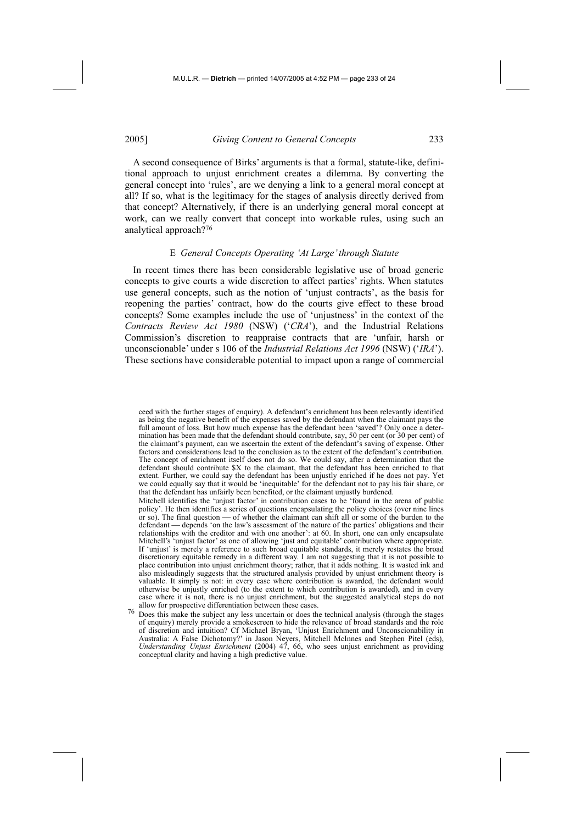A second consequence of Birks' arguments is that a formal, statute-like, definitional approach to unjust enrichment creates a dilemma. By converting the general concept into 'rules', are we denying a link to a general moral concept at all? If so, what is the legitimacy for the stages of analysis directly derived from that concept? Alternatively, if there is an underlying general moral concept at work, can we really convert that concept into workable rules, using such an analytical approach?76

### E *General Concepts Operating 'At Large' through Statute*

In recent times there has been considerable legislative use of broad generic concepts to give courts a wide discretion to affect parties' rights. When statutes use general concepts, such as the notion of 'unjust contracts', as the basis for reopening the parties' contract, how do the courts give effect to these broad concepts? Some examples include the use of 'unjustness' in the context of the *Contracts Review Act 1980* (NSW) ('*CRA*'), and the Industrial Relations Commission's discretion to reappraise contracts that are 'unfair, harsh or unconscionable' under s 106 of the *Industrial Relations Act 1996* (NSW) ('*IRA*'). These sections have considerable potential to impact upon a range of commercial

ceed with the further stages of enquiry). A defendant's enrichment has been relevantly identified as being the negative benefit of the expenses saved by the defendant when the claimant pays the full amount of loss. But how much expense has the defendant been 'saved'? Only once a determination has been made that the defendant should contribute, say, 50 per cent (or 30 per cent) of the claimant's payment, can we ascertain the extent of the defendant's saving of expense. Other factors and considerations lead to the conclusion as to the extent of the defendant's contribution. The concept of enrichment itself does not do so. We could say, after a determination that the defendant should contribute \$X to the claimant, that the defendant has been enriched to that extent. Further, we could say the defendant has been unjustly enriched if he does not pay. Yet we could equally say that it would be 'inequitable' for the defendant not to pay his fair share, or that the defendant has unfairly been benefited, or the claimant unjustly burdened.

Mitchell identifies the 'unjust factor' in contribution cases to be 'found in the arena of public policy'. He then identifies a series of questions encapsulating the policy choices (over nine lines or so). The final question  $\equiv$  of whether the claimant can shift all or some of the burden to the defendant — depends 'on the law's assessment of the nature of the parties' obligations and their relationships with the creditor and with one another': at 60. In short, one can only encapsulate Mitchell's 'unjust factor' as one of allowing 'just and equitable' contribution where appropriate. If 'unjust' is merely a reference to such broad equitable standards, it merely restates the broad discretionary equitable remedy in a different way. I am not suggesting that it is not possible to place contribution into unjust enrichment theory; rather, that it adds nothing. It is wasted ink and also misleadingly suggests that the structured analysis provided by unjust enrichment theory is valuable. It simply is not: in every case where contribution is awarded, the defendant would otherwise be unjustly enriched (to the extent to which contribution is awarded), and in every case where it is not, there is no unjust enrichment, but the suggested analytical steps do not

allow for prospective differentiation between these cases.<br><sup>76</sup> Does this make the subject any less uncertain or does the technical analysis (through the stages of enquiry) merely provide a smokescreen to hide the relevance of broad standards and the role of discretion and intuition? Cf Michael Bryan, 'Unjust Enrichment and Unconscionability in Australia: A False Dichotomy?' in Jason Neyers, Mitchell McInnes and Stephen Pitel (eds), *Understanding Unjust Enrichment* (2004) 47, 66, who sees unjust enrichment as providing conceptual clarity and having a high predictive value.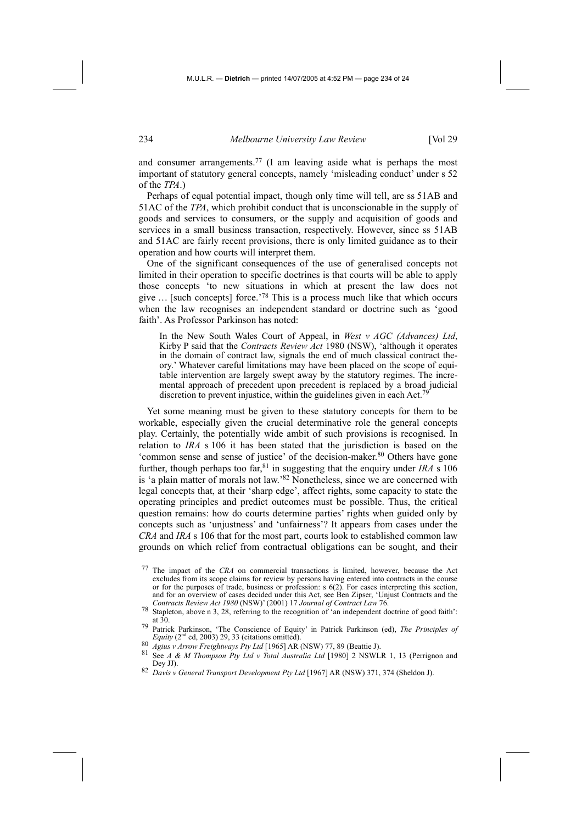and consumer arrangements.77 (I am leaving aside what is perhaps the most important of statutory general concepts, namely 'misleading conduct' under s 52 of the *TPA*.)

Perhaps of equal potential impact, though only time will tell, are ss 51AB and 51AC of the *TPA*, which prohibit conduct that is unconscionable in the supply of goods and services to consumers, or the supply and acquisition of goods and services in a small business transaction, respectively. However, since ss 51AB and 51AC are fairly recent provisions, there is only limited guidance as to their operation and how courts will interpret them.

One of the significant consequences of the use of generalised concepts not limited in their operation to specific doctrines is that courts will be able to apply those concepts 'to new situations in which at present the law does not give … [such concepts] force.'78 This is a process much like that which occurs when the law recognises an independent standard or doctrine such as 'good faith'. As Professor Parkinson has noted:

In the New South Wales Court of Appeal, in *West v AGC (Advances) Ltd*, Kirby P said that the *Contracts Review Act* 1980 (NSW), 'although it operates in the domain of contract law, signals the end of much classical contract theory.' Whatever careful limitations may have been placed on the scope of equitable intervention are largely swept away by the statutory regimes. The incremental approach of precedent upon precedent is replaced by a broad judicial discretion to prevent injustice, within the guidelines given in each Act.

Yet some meaning must be given to these statutory concepts for them to be workable, especially given the crucial determinative role the general concepts play. Certainly, the potentially wide ambit of such provisions is recognised. In relation to *IRA* s 106 it has been stated that the jurisdiction is based on the 'common sense and sense of justice' of the decision-maker.80 Others have gone further, though perhaps too far,81 in suggesting that the enquiry under *IRA* s 106 is 'a plain matter of morals not law.'82 Nonetheless, since we are concerned with legal concepts that, at their 'sharp edge', affect rights, some capacity to state the operating principles and predict outcomes must be possible. Thus, the critical question remains: how do courts determine parties' rights when guided only by concepts such as 'unjustness' and 'unfairness'? It appears from cases under the *CRA* and *IRA* s 106 that for the most part, courts look to established common law grounds on which relief from contractual obligations can be sought, and their

<sup>77</sup> The impact of the *CRA* on commercial transactions is limited, however, because the Act excludes from its scope claims for review by persons having entered into contracts in the course or for the purposes of trade, business or profession:  $s(62)$ . For cases interpreting this section, and for an overview of cases decided under this Act, see Ben Zipser, 'Unjust Contracts and the *Contracts Review Act 1980* (NSW)' (2001) 17 *Journal of Contract Law* 76.

<sup>78</sup> Stapleton, above n 3, 28, referring to the recognition of 'an independent doctrine of good faith': at 30.

<sup>79</sup> Patrick Parkinson, 'The Conscience of Equity' in Patrick Parkinson (ed), *The Principles of* 

<sup>&</sup>lt;sup>80</sup> Agius v Arrow Freightways Pty Ltd [1965] AR (NSW) 77, 89 (Beattie J).<br><sup>81</sup> See A & M Thompson Pty Ltd v Total Australia Ltd [1980] 2 NSWLR 1, 13 (Perrignon and Dey JJ). 82 *Davis v General Transport Development Pty Ltd* [1967] AR (NSW) 371, 374 (Sheldon J).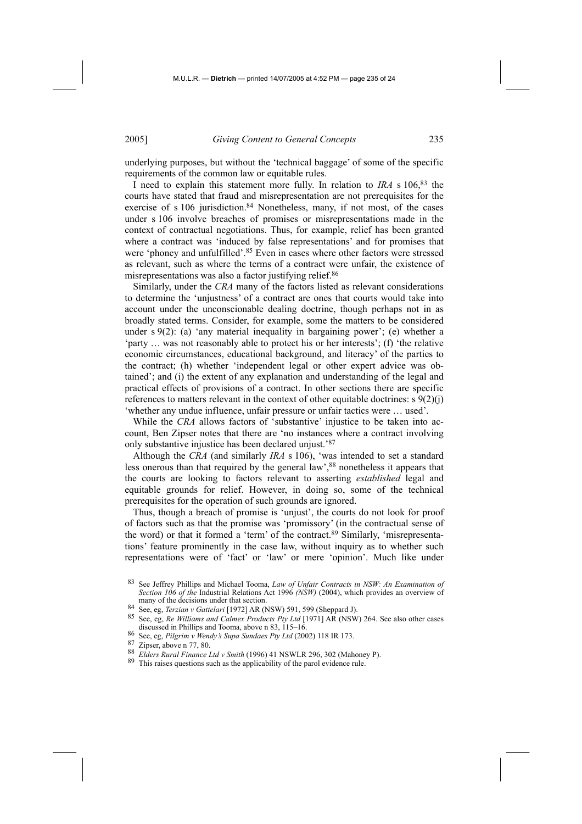underlying purposes, but without the 'technical baggage' of some of the specific requirements of the common law or equitable rules.

I need to explain this statement more fully. In relation to *IRA* s 106,83 the courts have stated that fraud and misrepresentation are not prerequisites for the exercise of s 106 jurisdiction.<sup>84</sup> Nonetheless, many, if not most, of the cases under s 106 involve breaches of promises or misrepresentations made in the context of contractual negotiations. Thus, for example, relief has been granted where a contract was 'induced by false representations' and for promises that were 'phoney and unfulfilled'.<sup>85</sup> Even in cases where other factors were stressed as relevant, such as where the terms of a contract were unfair, the existence of misrepresentations was also a factor justifying relief.<sup>86</sup>

Similarly, under the *CRA* many of the factors listed as relevant considerations to determine the 'unjustness' of a contract are ones that courts would take into account under the unconscionable dealing doctrine, though perhaps not in as broadly stated terms. Consider, for example, some the matters to be considered under  $s \theta(2)$ : (a) 'any material inequality in bargaining power'; (e) whether a 'party … was not reasonably able to protect his or her interests'; (f) 'the relative economic circumstances, educational background, and literacy' of the parties to the contract; (h) whether 'independent legal or other expert advice was obtained'; and (i) the extent of any explanation and understanding of the legal and practical effects of provisions of a contract. In other sections there are specific references to matters relevant in the context of other equitable doctrines: s 9(2)(j) 'whether any undue influence, unfair pressure or unfair tactics were … used'.

While the *CRA* allows factors of 'substantive' injustice to be taken into account, Ben Zipser notes that there are 'no instances where a contract involving only substantive injustice has been declared unjust.'87

Although the *CRA* (and similarly *IRA* s 106), 'was intended to set a standard less onerous than that required by the general law',<sup>88</sup> nonetheless it appears that the courts are looking to factors relevant to asserting *established* legal and equitable grounds for relief. However, in doing so, some of the technical prerequisites for the operation of such grounds are ignored.

Thus, though a breach of promise is 'unjust', the courts do not look for proof of factors such as that the promise was 'promissory' (in the contractual sense of the word) or that it formed a 'term' of the contract.89 Similarly, 'misrepresentations' feature prominently in the case law, without inquiry as to whether such representations were of 'fact' or 'law' or mere 'opinion'. Much like under

<sup>83</sup> See Jeffrey Phillips and Michael Tooma, *Law of Unfair Contracts in NSW: An Examination of Section 106 of the* Industrial Relations Act 1996 (*NSW*) (2004), which provides an overview of many of the decisions under that section.

<sup>&</sup>lt;sup>84</sup> See, eg, *Terzian v Gattelari* [1972] AR (NSW) 591, 599 (Sheppard J).<br><sup>85</sup> See, eg, *Re Williams and Calmex Products Pty Ltd* [1971] AR (NSW) 264. See also other cases discussed in Phillips and Tooma, above n 83, 115–

<sup>%</sup> See, eg, *Pilgrim v Wendy's Supa Sundaes Pty Ltd* (2002) 118 IR 173.<br><sup>87</sup> Zipser, above n 77, 80.<br><sup>88</sup> *Elders Rural Finance Ltd v Smith* (1996) 41 NSWLR 296, 302 (Mahoney P).<br><sup>88</sup> *Elders Rural Finance Ltd v Smith* (199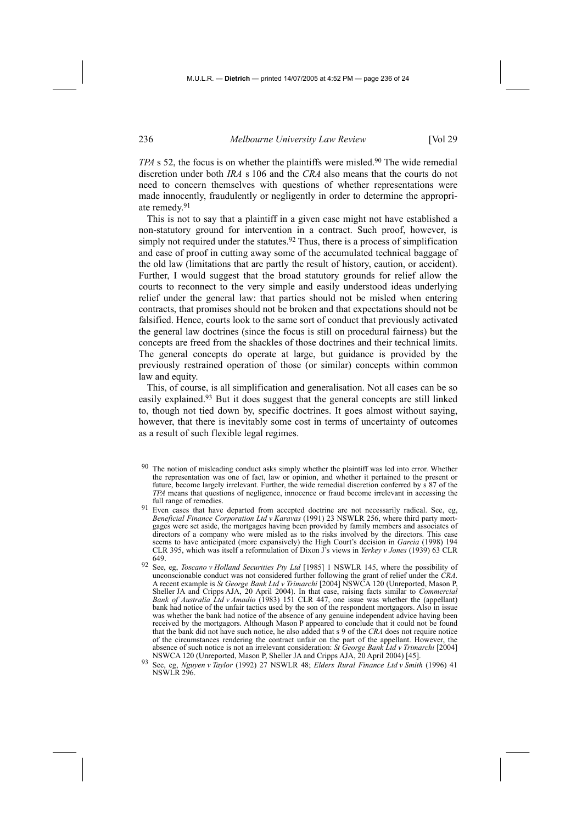*TPA* s 52, the focus is on whether the plaintiffs were misled.<sup>90</sup> The wide remedial discretion under both *IRA* s 106 and the *CRA* also means that the courts do not need to concern themselves with questions of whether representations were made innocently, fraudulently or negligently in order to determine the appropriate remedy.91

This is not to say that a plaintiff in a given case might not have established a non-statutory ground for intervention in a contract. Such proof, however, is simply not required under the statutes.<sup>92</sup> Thus, there is a process of simplification and ease of proof in cutting away some of the accumulated technical baggage of the old law (limitations that are partly the result of history, caution, or accident). Further, I would suggest that the broad statutory grounds for relief allow the courts to reconnect to the very simple and easily understood ideas underlying relief under the general law: that parties should not be misled when entering contracts, that promises should not be broken and that expectations should not be falsified. Hence, courts look to the same sort of conduct that previously activated the general law doctrines (since the focus is still on procedural fairness) but the concepts are freed from the shackles of those doctrines and their technical limits. The general concepts do operate at large, but guidance is provided by the previously restrained operation of those (or similar) concepts within common law and equity.

This, of course, is all simplification and generalisation. Not all cases can be so easily explained.<sup>93</sup> But it does suggest that the general concepts are still linked to, though not tied down by, specific doctrines. It goes almost without saying, however, that there is inevitably some cost in terms of uncertainty of outcomes as a result of such flexible legal regimes.

- The notion of misleading conduct asks simply whether the plaintiff was led into error. Whether the representation was one of fact, law or opinion, and whether it pertained to the present or future, become largely irrelevant. Further, the wide remedial discretion conferred by s 87 of the *TPA* means that questions of negligence, innocence or fraud become irrelevant in accessing the
- full range of remedies. 91 Even cases that have departed from accepted doctrine are not necessarily radical. See, eg, *Beneficial Finance Corporation Ltd v Karavas* (1991) 23 NSWLR 256, where third party mortgages were set aside, the mortgages having been provided by family members and associates of directors of a company who were misled as to the risks involved by the directors. This case seems to have anticipated (more expansively) the High Court's decision in *Garcia* (1998) 194 CLR 395, which was itself a reformulation of Dixon J's views in *Yerkey v Jones* (1939) 63 CLR 649.
- 92 See, eg, *Toscano v Holland Securities Pty Ltd* [1985] 1 NSWLR 145, where the possibility of unconscionable conduct was not considered further following the grant of relief under the *CRA*. A recent example is *St George Bank Ltd v Trimarchi* [2004] NSWCA 120 (Unreported, Mason P, Sheller JA and Cripps AJA, 20 April 2004). In that case, raising facts similar to *Commercial Bank of Australia Ltd v Amadio* (1983) 151 CLR 447, one issue was whether the (appellant) bank had notice of the unfair tactics used by the son of the respondent mortgagors. Also in issue was whether the bank had notice of the absence of any genuine independent advice having been received by the mortgagors. Although Mason P appeared to conclude that it could not be found that the bank did not have such notice, he also added that s 9 of the *CRA* does not require notice of the circumstances rendering the contract unfair on the part of the appellant. However, the absence of such notice is not an irrelevant consideration: *St George Bank Ltd v Trimarchi* [2004]<br>NSWCA 120 (Unreported, Mason P, Sheller JA and Cripps AJA, 20 April 2004) [45].
- NSWCA 120 (Unreported, Mason P, Sheller JA and Cripps AJA, 20 April 2004) [45]. 93 See, eg, *Nguyen v Taylor* (1992) 27 NSWLR 48; *Elders Rural Finance Ltd v Smith* (1996) 41 NSWLR 296.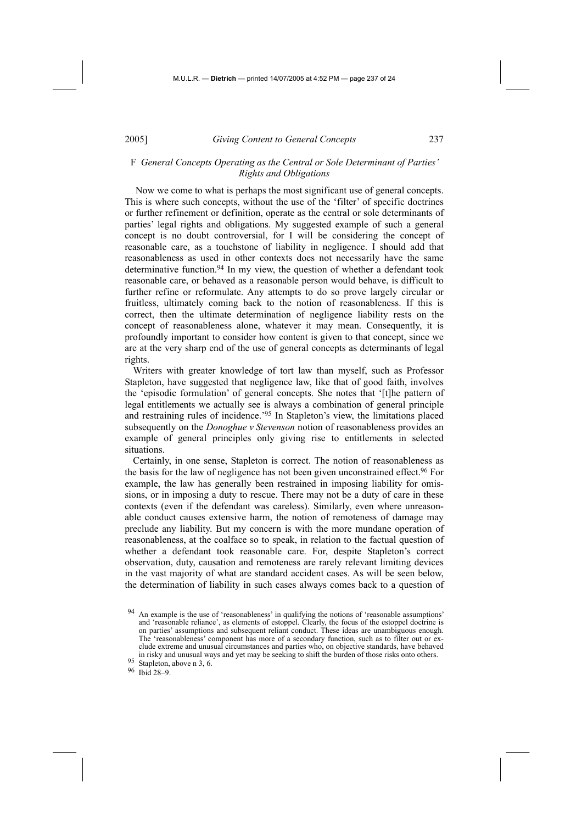# F *General Concepts Operating as the Central or Sole Determinant of Parties' Rights and Obligations*

 Now we come to what is perhaps the most significant use of general concepts. This is where such concepts, without the use of the 'filter' of specific doctrines or further refinement or definition, operate as the central or sole determinants of parties' legal rights and obligations. My suggested example of such a general concept is no doubt controversial, for I will be considering the concept of reasonable care, as a touchstone of liability in negligence. I should add that reasonableness as used in other contexts does not necessarily have the same determinative function.<sup>94</sup> In my view, the question of whether a defendant took reasonable care, or behaved as a reasonable person would behave, is difficult to further refine or reformulate. Any attempts to do so prove largely circular or fruitless, ultimately coming back to the notion of reasonableness. If this is correct, then the ultimate determination of negligence liability rests on the concept of reasonableness alone, whatever it may mean. Consequently, it is profoundly important to consider how content is given to that concept, since we are at the very sharp end of the use of general concepts as determinants of legal rights.

Writers with greater knowledge of tort law than myself, such as Professor Stapleton, have suggested that negligence law, like that of good faith, involves the 'episodic formulation' of general concepts. She notes that '[t]he pattern of legal entitlements we actually see is always a combination of general principle and restraining rules of incidence.'95 In Stapleton's view, the limitations placed subsequently on the *Donoghue v Stevenson* notion of reasonableness provides an example of general principles only giving rise to entitlements in selected situations.

Certainly, in one sense, Stapleton is correct. The notion of reasonableness as the basis for the law of negligence has not been given unconstrained effect.<sup>96</sup> For example, the law has generally been restrained in imposing liability for omissions, or in imposing a duty to rescue. There may not be a duty of care in these contexts (even if the defendant was careless). Similarly, even where unreasonable conduct causes extensive harm, the notion of remoteness of damage may preclude any liability. But my concern is with the more mundane operation of reasonableness, at the coalface so to speak, in relation to the factual question of whether a defendant took reasonable care. For, despite Stapleton's correct observation, duty, causation and remoteness are rarely relevant limiting devices in the vast majority of what are standard accident cases. As will be seen below, the determination of liability in such cases always comes back to a question of

<sup>94</sup> An example is the use of 'reasonableness' in qualifying the notions of 'reasonable assumptions' and 'reasonable reliance', as elements of estoppel. Clearly, the focus of the estoppel doctrine is on parties' assumptions and subsequent reliant conduct. These ideas are unambiguous enough. The 'reasonableness' component has more of a secondary function, such as to filter out or exclude extreme and unusual circumstances and parties who, on objective standards, have behaved in risky and unusual ways and yet may be seeking to shift the burden of those risks onto others. 95 Stapleton, above n 3, 6. 96 Ibid 28–9.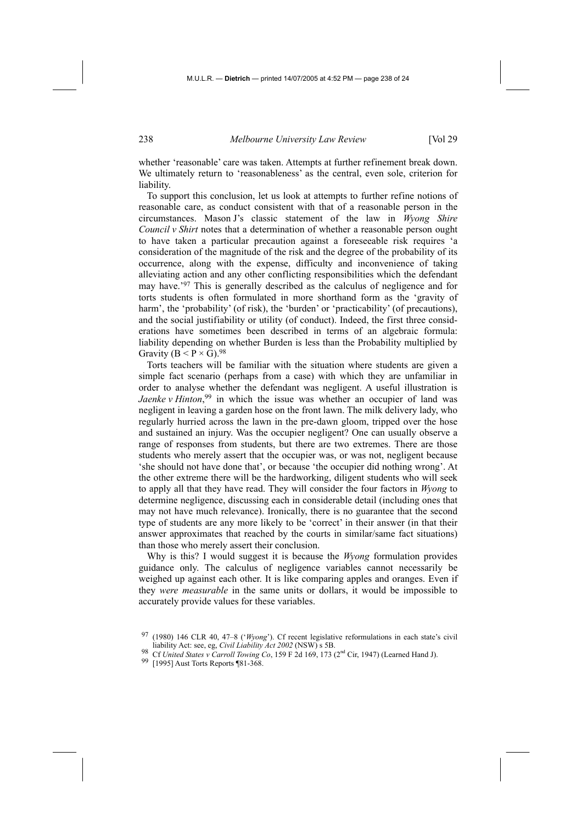whether 'reasonable' care was taken. Attempts at further refinement break down. We ultimately return to 'reasonableness' as the central, even sole, criterion for liability.

To support this conclusion, let us look at attempts to further refine notions of reasonable care, as conduct consistent with that of a reasonable person in the circumstances. Mason J's classic statement of the law in *Wyong Shire Council v Shirt* notes that a determination of whether a reasonable person ought to have taken a particular precaution against a foreseeable risk requires 'a consideration of the magnitude of the risk and the degree of the probability of its occurrence, along with the expense, difficulty and inconvenience of taking alleviating action and any other conflicting responsibilities which the defendant may have.'97 This is generally described as the calculus of negligence and for torts students is often formulated in more shorthand form as the 'gravity of harm', the 'probability' (of risk), the 'burden' or 'practicability' (of precautions), and the social justifiability or utility (of conduct). Indeed, the first three considerations have sometimes been described in terms of an algebraic formula: liability depending on whether Burden is less than the Probability multiplied by Gravity ( $B < P \times G$ ).<sup>98</sup>

Torts teachers will be familiar with the situation where students are given a simple fact scenario (perhaps from a case) with which they are unfamiliar in order to analyse whether the defendant was negligent. A useful illustration is *Jaenke v Hinton*<sup>99</sup> in which the issue was whether an occupier of land was negligent in leaving a garden hose on the front lawn. The milk delivery lady, who regularly hurried across the lawn in the pre-dawn gloom, tripped over the hose and sustained an injury. Was the occupier negligent? One can usually observe a range of responses from students, but there are two extremes. There are those students who merely assert that the occupier was, or was not, negligent because 'she should not have done that', or because 'the occupier did nothing wrong'. At the other extreme there will be the hardworking, diligent students who will seek to apply all that they have read. They will consider the four factors in *Wyong* to determine negligence, discussing each in considerable detail (including ones that may not have much relevance). Ironically, there is no guarantee that the second type of students are any more likely to be 'correct' in their answer (in that their answer approximates that reached by the courts in similar/same fact situations) than those who merely assert their conclusion.

Why is this? I would suggest it is because the *Wyong* formulation provides guidance only. The calculus of negligence variables cannot necessarily be weighed up against each other. It is like comparing apples and oranges. Even if they *were measurable* in the same units or dollars, it would be impossible to accurately provide values for these variables.

<sup>97 (1980) 146</sup> CLR 40, 47–8 ('*Wyong*'). Cf recent legislative reformulations in each state's civil

<sup>&</sup>lt;sup>98</sup> Cf *United States v Carroll Towing Co*, 159 F 2d 169, 173 (2<sup>nd</sup> Cir, 1947) (Learned Hand J). 99 [1995] Aust Torts Reports ¶81-368.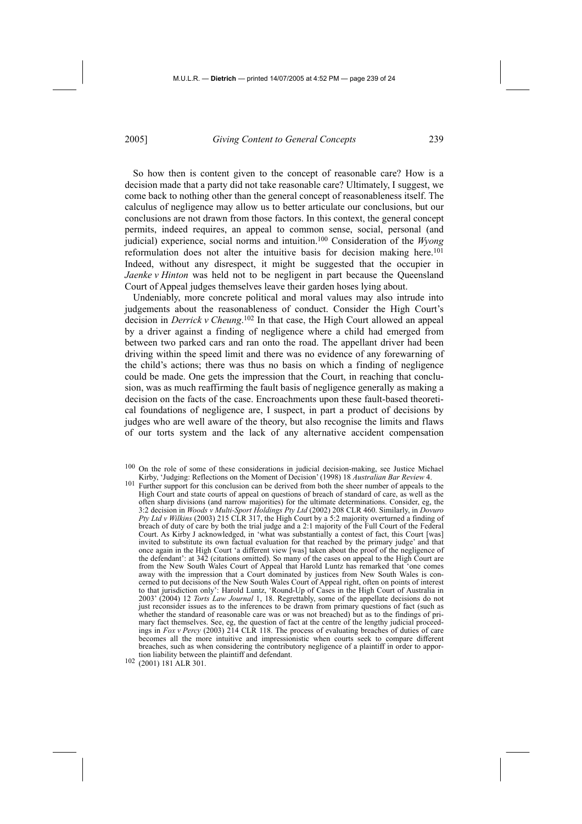So how then is content given to the concept of reasonable care? How is a decision made that a party did not take reasonable care? Ultimately, I suggest, we come back to nothing other than the general concept of reasonableness itself. The calculus of negligence may allow us to better articulate our conclusions, but our conclusions are not drawn from those factors. In this context, the general concept permits, indeed requires, an appeal to common sense, social, personal (and judicial) experience, social norms and intuition.100 Consideration of the *Wyong*  reformulation does not alter the intuitive basis for decision making here.<sup>101</sup> Indeed, without any disrespect, it might be suggested that the occupier in *Jaenke v Hinton* was held not to be negligent in part because the Queensland Court of Appeal judges themselves leave their garden hoses lying about.

Undeniably, more concrete political and moral values may also intrude into judgements about the reasonableness of conduct. Consider the High Court's decision in *Derrick v Cheung*. 102 In that case, the High Court allowed an appeal by a driver against a finding of negligence where a child had emerged from between two parked cars and ran onto the road. The appellant driver had been driving within the speed limit and there was no evidence of any forewarning of the child's actions; there was thus no basis on which a finding of negligence could be made. One gets the impression that the Court, in reaching that conclusion, was as much reaffirming the fault basis of negligence generally as making a decision on the facts of the case. Encroachments upon these fault-based theoretical foundations of negligence are, I suspect, in part a product of decisions by judges who are well aware of the theory, but also recognise the limits and flaws of our torts system and the lack of any alternative accident compensation

<sup>100</sup> On the role of some of these considerations in judicial decision-making, see Justice Michael Kirby, 'Judging: Reflections on the Moment of Decision' (1998) 18 *Australian Bar Review* 4.

<sup>101</sup> Further support for this conclusion can be derived from both the sheer number of appeals to the High Court and state courts of appeal on questions of breach of standard of care, as well as the often sharp divisions (and narrow majorities) for the ultimate determinations. Consider, eg, the 3:2 decision in *Woods v Multi-Sport Holdings Pty Ltd* (2002) 208 CLR 460. Similarly, in *Dovuro Pty Ltd v Wilkins* (2003) 215 CLR 317, the High Court by a 5:2 majority overturned a finding of breach of duty of care by both the trial judge and a 2:1 majority of the Full Court of the Federal Court. As Kirby J acknowledged, in 'what was substantially a contest of fact, this Court [was] invited to substitute its own factual evaluation for that reached by the primary judge' and that once again in the High Court 'a different view [was] taken about the proof of the negligence of the defendant': at 342 (citations omitted). So many of the cases on appeal to the High Court are from the New South Wales Court of Appeal that Harold Luntz has remarked that 'one comes away with the impression that a Court dominated by justices from New South Wales is concerned to put decisions of the New South Wales Court of Appeal right, often on points of interest to that jurisdiction only': Harold Luntz, 'Round-Up of Cases in the High Court of Australia in 2003' (2004) 12 *Torts Law Journal* 1, 18. Regrettably, some of the appellate decisions do not just reconsider issues as to the inferences to be drawn from primary questions of fact (such as whether the standard of reasonable care was or was not breached) but as to the findings of primary fact themselves. See, eg, the question of fact at the centre of the lengthy judicial proceedings in *Fox v Percy* (2003) 214 CLR 118. The process of evaluating breaches of duties of care becomes all the more intuitive and impressionistic when courts seek to compare different breaches, such as when considering the contributory negligence of a plaintiff in order to apportion liability between the plaintiff and defendant.<br><sup>102</sup> (2001) 181 ALR 301.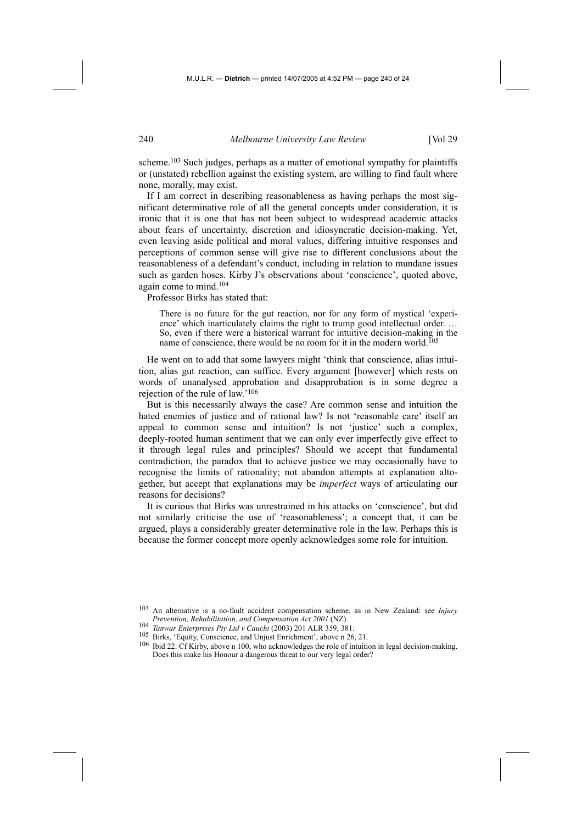scheme.<sup>103</sup> Such judges, perhaps as a matter of emotional sympathy for plaintiffs or (unstated) rebellion against the existing system, are willing to find fault where none, morally, may exist.

If I am correct in describing reasonableness as having perhaps the most significant determinative role of all the general concepts under consideration, it is ironic that it is one that has not been subject to widespread academic attacks about fears of uncertainty, discretion and idiosyncratic decision-making. Yet, even leaving aside political and moral values, differing intuitive responses and perceptions of common sense will give rise to different conclusions about the reasonableness of a defendant's conduct, including in relation to mundane issues such as garden hoses. Kirby J's observations about 'conscience', quoted above, again come to mind.104

Professor Birks has stated that:

There is no future for the gut reaction, nor for any form of mystical 'experience' which inarticulately claims the right to trump good intellectual order. … So, even if there were a historical warrant for intuitive decision-making in the name of conscience, there would be no room for it in the modern world.<sup>105</sup>

He went on to add that some lawyers might 'think that conscience, alias intuition, alias gut reaction, can suffice. Every argument [however] which rests on words of unanalysed approbation and disapprobation is in some degree a rejection of the rule of law.'106

But is this necessarily always the case? Are common sense and intuition the hated enemies of justice and of rational law? Is not 'reasonable care' itself an appeal to common sense and intuition? Is not 'justice' such a complex, deeply-rooted human sentiment that we can only ever imperfectly give effect to it through legal rules and principles? Should we accept that fundamental contradiction, the paradox that to achieve justice we may occasionally have to recognise the limits of rationality; not abandon attempts at explanation altogether, but accept that explanations may be *imperfect* ways of articulating our reasons for decisions?

It is curious that Birks was unrestrained in his attacks on 'conscience', but did not similarly criticise the use of 'reasonableness'; a concept that, it can be argued, plays a considerably greater determinative role in the law. Perhaps this is because the former concept more openly acknowledges some role for intuition.

<sup>103</sup> An alternative is a no-fault accident compensation scheme, as in New Zealand: see *Injury* 

<sup>&</sup>lt;sup>104</sup> Tanwar Enterprises Pty Ltd v Cauchi (2003) 201 ALR 359, 381.<br><sup>105</sup> Birks, 'Equity, Conscience, and Unjust Enrichment', above n 26, 21.<br><sup>106</sup> Ibid 22. Cf Kirby, above n 100, who acknowledges the role of intuition in Does this make his Honour a dangerous threat to our very legal order?